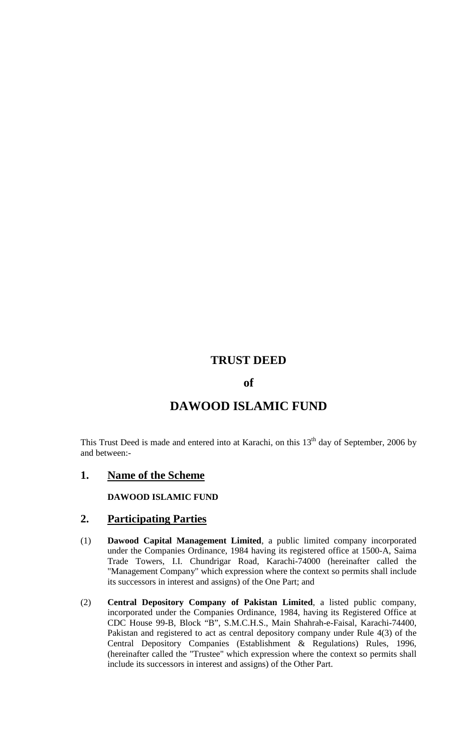# **TRUST DEED**

### **of**

# **DAWOOD ISLAMIC FUND**

This Trust Deed is made and entered into at Karachi, on this  $13<sup>th</sup>$  day of September, 2006 by and between:-

### **1. Name of the Scheme**

**DAWOOD ISLAMIC FUND**

## **2. Participating Parties**

- (1) **Dawood Capital Management Limited**, a public limited company incorporated under the Companies Ordinance, 1984 having its registered office at 1500-A, Saima Trade Towers, I.I. Chundrigar Road, Karachi-74000 (hereinafter called the "Management Company" which expression where the context so permits shall include its successors in interest and assigns) of the One Part; and
- (2) **Central Depository Company of Pakistan Limited**, a listed public company, incorporated under the Companies Ordinance, 1984, having its Registered Office at CDC House 99-B, Block "B", S.M.C.H.S., Main Shahrah-e-Faisal, Karachi-74400, Pakistan and registered to act as central depository company under Rule 4(3) of the Central Depository Companies (Establishment & Regulations) Rules, 1996, (hereinafter called the "Trustee" which expression where the context so permits shall include its successors in interest and assigns) of the Other Part.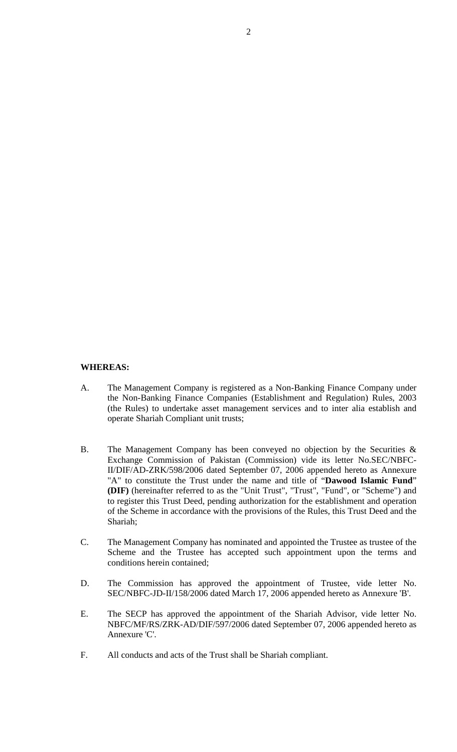#### **WHEREAS:**

- A. The Management Company is registered as a Non-Banking Finance Company under the Non-Banking Finance Companies (Establishment and Regulation) Rules, 2003 (the Rules) to undertake asset management services and to inter alia establish and operate Shariah Compliant unit trusts;
- B. The Management Company has been conveyed no objection by the Securities & Exchange Commission of Pakistan (Commission) vide its letter No.SEC/NBFC-II/DIF/AD-ZRK/598/2006 dated September 07, 2006 appended hereto as Annexure "A" to constitute the Trust under the name and title of "**Dawood Islamic Fund**" **(DIF)** (hereinafter referred to as the "Unit Trust", "Trust", "Fund", or "Scheme") and to register this Trust Deed, pending authorization for the establishment and operation of the Scheme in accordance with the provisions of the Rules, this Trust Deed and the Shariah;
- C. The Management Company has nominated and appointed the Trustee as trustee of the Scheme and the Trustee has accepted such appointment upon the terms and conditions herein contained;
- D. The Commission has approved the appointment of Trustee, vide letter No. SEC/NBFC-JD-II/158/2006 dated March 17, 2006 appended hereto as Annexure 'B'.
- E. The SECP has approved the appointment of the Shariah Advisor, vide letter No. NBFC/MF/RS/ZRK-AD/DIF/597/2006 dated September 07, 2006 appended hereto as Annexure 'C'.
- F. All conducts and acts of the Trust shall be Shariah compliant.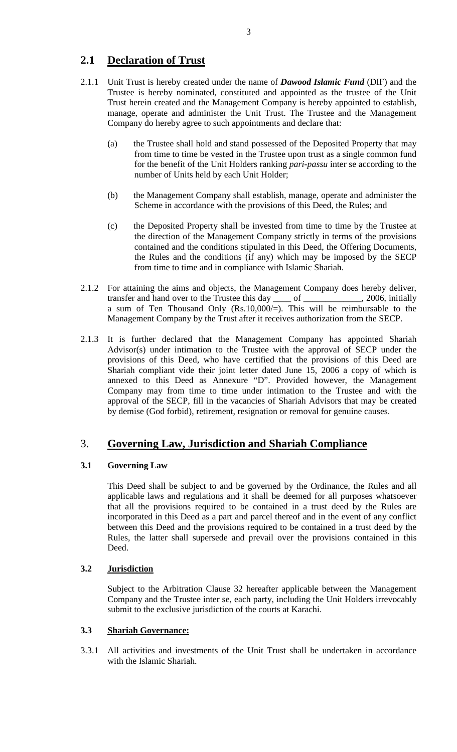# **2.1 Declaration of Trust**

- 2.1.1 Unit Trust is hereby created under the name of *Dawood Islamic Fund* (DIF) and the Trustee is hereby nominated, constituted and appointed as the trustee of the Unit Trust herein created and the Management Company is hereby appointed to establish, manage, operate and administer the Unit Trust. The Trustee and the Management Company do hereby agree to such appointments and declare that:
	- (a) the Trustee shall hold and stand possessed of the Deposited Property that may from time to time be vested in the Trustee upon trust as a single common fund for the benefit of the Unit Holders ranking *pari-passu* inter se according to the number of Units held by each Unit Holder;
	- (b) the Management Company shall establish, manage, operate and administer the Scheme in accordance with the provisions of this Deed, the Rules; and
	- (c) the Deposited Property shall be invested from time to time by the Trustee at the direction of the Management Company strictly in terms of the provisions contained and the conditions stipulated in this Deed, the Offering Documents, the Rules and the conditions (if any) which may be imposed by the SECP from time to time and in compliance with Islamic Shariah.
- 2.1.2 For attaining the aims and objects, the Management Company does hereby deliver, transfer and hand over to the Trustee this day of the state of the state of the state of the state of the state of the state of the state of the state of the state of the state of the state of the state of the state of the a sum of Ten Thousand Only (Rs.10,000/=). This will be reimbursable to the Management Company by the Trust after it receives authorization from the SECP.
- 2.1.3 It is further declared that the Management Company has appointed Shariah Advisor(s) under intimation to the Trustee with the approval of SECP under the provisions of this Deed, who have certified that the provisions of this Deed are Shariah compliant vide their joint letter dated June 15, 2006 a copy of which is annexed to this Deed as Annexure "D". Provided however, the Management Company may from time to time under intimation to the Trustee and with the approval of the SECP, fill in the vacancies of Shariah Advisors that may be created by demise (God forbid), retirement, resignation or removal for genuine causes.

# 3. **Governing Law, Jurisdiction and Shariah Compliance**

### **3.1 Governing Law**

This Deed shall be subject to and be governed by the Ordinance, the Rules and all applicable laws and regulations and it shall be deemed for all purposes whatsoever that all the provisions required to be contained in a trust deed by the Rules are incorporated in this Deed as a part and parcel thereof and in the event of any conflict between this Deed and the provisions required to be contained in a trust deed by the Rules, the latter shall supersede and prevail over the provisions contained in this Deed.

### **3.2 Jurisdiction**

Subject to the Arbitration Clause 32 hereafter applicable between the Management Company and the Trustee inter se, each party, including the Unit Holders irrevocably submit to the exclusive jurisdiction of the courts at Karachi.

### **3.3 Shariah Governance:**

3.3.1 All activities and investments of the Unit Trust shall be undertaken in accordance with the Islamic Shariah.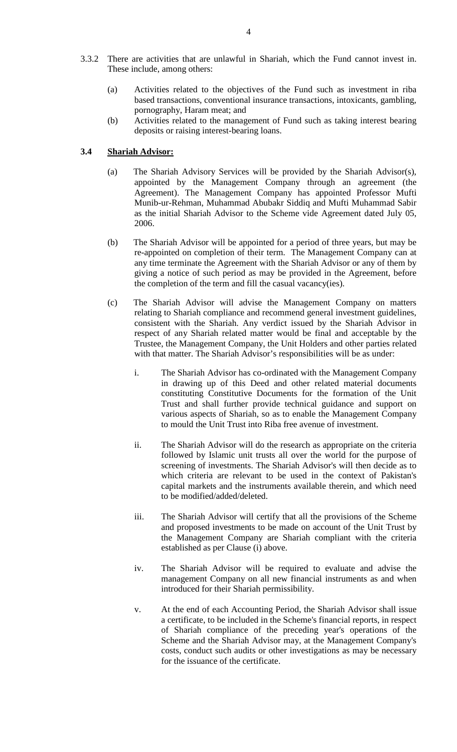- 3.3.2 There are activities that are unlawful in Shariah, which the Fund cannot invest in. These include, among others:
	- (a) Activities related to the objectives of the Fund such as investment in riba based transactions, conventional insurance transactions, intoxicants, gambling, pornography, Haram meat; and
	- (b) Activities related to the management of Fund such as taking interest bearing deposits or raising interest-bearing loans.

#### **3.4 Shariah Advisor:**

- (a) The Shariah Advisory Services will be provided by the Shariah Advisor(s), appointed by the Management Company through an agreement (the Agreement). The Management Company has appointed Professor Mufti Munib-ur-Rehman, Muhammad Abubakr Siddiq and Mufti Muhammad Sabir as the initial Shariah Advisor to the Scheme vide Agreement dated July 05, 2006.
- (b) The Shariah Advisor will be appointed for a period of three years, but may be re-appointed on completion of their term. The Management Company can at any time terminate the Agreement with the Shariah Advisor or any of them by giving a notice of such period as may be provided in the Agreement, before the completion of the term and fill the casual vacancy(ies).
- (c) The Shariah Advisor will advise the Management Company on matters relating to Shariah compliance and recommend general investment guidelines, consistent with the Shariah. Any verdict issued by the Shariah Advisor in respect of any Shariah related matter would be final and acceptable by the Trustee, the Management Company, the Unit Holders and other parties related with that matter. The Shariah Advisor's responsibilities will be as under:
	- i. The Shariah Advisor has co-ordinated with the Management Company in drawing up of this Deed and other related material documents constituting Constitutive Documents for the formation of the Unit Trust and shall further provide technical guidance and support on various aspects of Shariah, so as to enable the Management Company to mould the Unit Trust into Riba free avenue of investment.
	- ii. The Shariah Advisor will do the research as appropriate on the criteria followed by Islamic unit trusts all over the world for the purpose of screening of investments. The Shariah Advisor's will then decide as to which criteria are relevant to be used in the context of Pakistan's capital markets and the instruments available therein, and which need to be modified/added/deleted.
	- iii. The Shariah Advisor will certify that all the provisions of the Scheme and proposed investments to be made on account of the Unit Trust by the Management Company are Shariah compliant with the criteria established as per Clause (i) above.
	- iv. The Shariah Advisor will be required to evaluate and advise the management Company on all new financial instruments as and when introduced for their Shariah permissibility.
	- v. At the end of each Accounting Period, the Shariah Advisor shall issue a certificate, to be included in the Scheme's financial reports, in respect of Shariah compliance of the preceding year's operations of the Scheme and the Shariah Advisor may, at the Management Company's costs, conduct such audits or other investigations as may be necessary for the issuance of the certificate.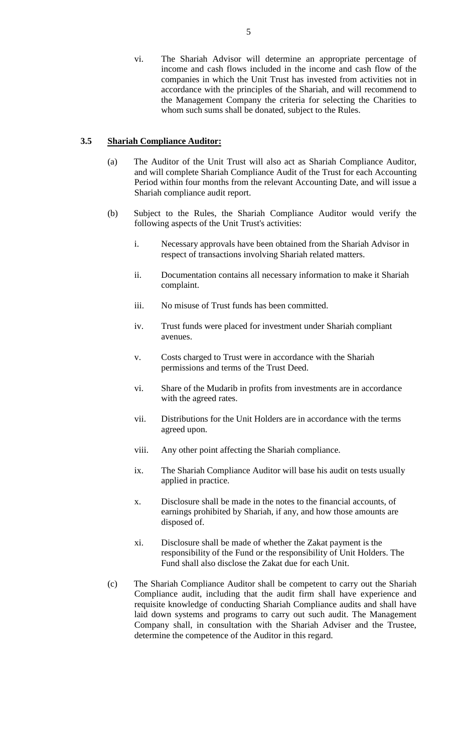vi. The Shariah Advisor will determine an appropriate percentage of income and cash flows included in the income and cash flow of the companies in which the Unit Trust has invested from activities not in accordance with the principles of the Shariah, and will recommend to the Management Company the criteria for selecting the Charities to whom such sums shall be donated, subject to the Rules.

#### **3.5 Shariah Compliance Auditor:**

- (a) The Auditor of the Unit Trust will also act as Shariah Compliance Auditor, and will complete Shariah Compliance Audit of the Trust for each Accounting Period within four months from the relevant Accounting Date, and will issue a Shariah compliance audit report.
- (b) Subject to the Rules, the Shariah Compliance Auditor would verify the following aspects of the Unit Trust's activities:
	- i. Necessary approvals have been obtained from the Shariah Advisor in respect of transactions involving Shariah related matters.
	- ii. Documentation contains all necessary information to make it Shariah complaint.
	- iii. No misuse of Trust funds has been committed.
	- iv. Trust funds were placed for investment under Shariah compliant avenues.
	- v. Costs charged to Trust were in accordance with the Shariah permissions and terms of the Trust Deed.
	- vi. Share of the Mudarib in profits from investments are in accordance with the agreed rates.
	- vii. Distributions for the Unit Holders are in accordance with the terms agreed upon.
	- viii. Any other point affecting the Shariah compliance.
	- ix. The Shariah Compliance Auditor will base his audit on tests usually applied in practice.
	- x. Disclosure shall be made in the notes to the financial accounts, of earnings prohibited by Shariah, if any, and how those amounts are disposed of.
	- xi. Disclosure shall be made of whether the Zakat payment is the responsibility of the Fund or the responsibility of Unit Holders. The Fund shall also disclose the Zakat due for each Unit.
- (c) The Shariah Compliance Auditor shall be competent to carry out the Shariah Compliance audit, including that the audit firm shall have experience and requisite knowledge of conducting Shariah Compliance audits and shall have laid down systems and programs to carry out such audit. The Management Company shall, in consultation with the Shariah Adviser and the Trustee, determine the competence of the Auditor in this regard.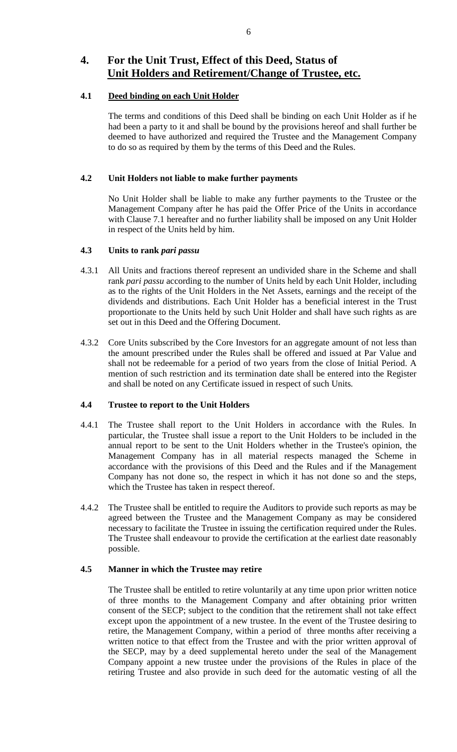# **4. For the Unit Trust, Effect of this Deed, Status of Unit Holders and Retirement/Change of Trustee, etc.**

#### **4.1 Deed binding on each Unit Holder**

The terms and conditions of this Deed shall be binding on each Unit Holder as if he had been a party to it and shall be bound by the provisions hereof and shall further be deemed to have authorized and required the Trustee and the Management Company to do so as required by them by the terms of this Deed and the Rules.

### **4.2 Unit Holders not liable to make further payments**

No Unit Holder shall be liable to make any further payments to the Trustee or the Management Company after he has paid the Offer Price of the Units in accordance with Clause 7.1 hereafter and no further liability shall be imposed on any Unit Holder in respect of the Units held by him.

### **4.3 Units to rank** *pari passu*

- 4.3.1 All Units and fractions thereof represent an undivided share in the Scheme and shall rank *pari passu* according to the number of Units held by each Unit Holder, including as to the rights of the Unit Holders in the Net Assets, earnings and the receipt of the dividends and distributions. Each Unit Holder has a beneficial interest in the Trust proportionate to the Units held by such Unit Holder and shall have such rights as are set out in this Deed and the Offering Document.
- 4.3.2 Core Units subscribed by the Core Investors for an aggregate amount of not less than the amount prescribed under the Rules shall be offered and issued at Par Value and shall not be redeemable for a period of two years from the close of Initial Period. A mention of such restriction and its termination date shall be entered into the Register and shall be noted on any Certificate issued in respect of such Units*.*

### **4.4 Trustee to report to the Unit Holders**

- 4.4.1 The Trustee shall report to the Unit Holders in accordance with the Rules. In particular, the Trustee shall issue a report to the Unit Holders to be included in the annual report to be sent to the Unit Holders whether in the Trustee's opinion, the Management Company has in all material respects managed the Scheme in accordance with the provisions of this Deed and the Rules and if the Management Company has not done so, the respect in which it has not done so and the steps, which the Trustee has taken in respect thereof.
- 4.4.2 The Trustee shall be entitled to require the Auditors to provide such reports as may be agreed between the Trustee and the Management Company as may be considered necessary to facilitate the Trustee in issuing the certification required under the Rules. The Trustee shall endeavour to provide the certification at the earliest date reasonably possible.

#### **4.5 Manner in which the Trustee may retire**

The Trustee shall be entitled to retire voluntarily at any time upon prior written notice of three months to the Management Company and after obtaining prior written consent of the SECP; subject to the condition that the retirement shall not take effect except upon the appointment of a new trustee. In the event of the Trustee desiring to retire, the Management Company, within a period of three months after receiving a written notice to that effect from the Trustee and with the prior written approval of the SECP, may by a deed supplemental hereto under the seal of the Management Company appoint a new trustee under the provisions of the Rules in place of the retiring Trustee and also provide in such deed for the automatic vesting of all the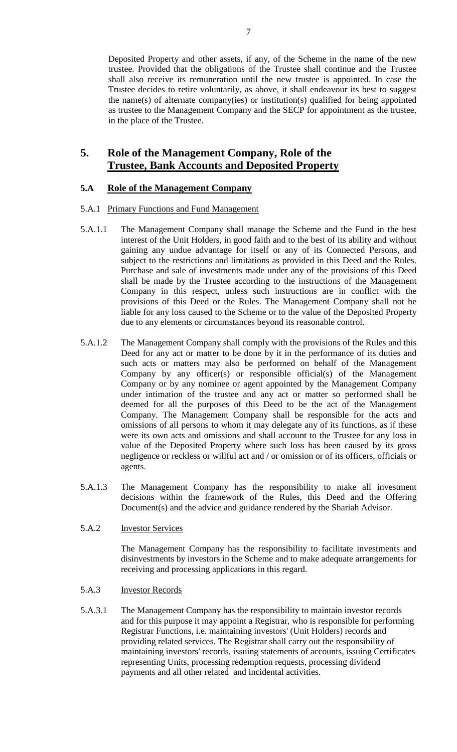Deposited Property and other assets, if any, of the Scheme in the name of the new trustee. Provided that the obligations of the Trustee shall continue and the Trustee shall also receive its remuneration until the new trustee is appointed. In case the Trustee decides to retire voluntarily, as above, it shall endeavour its best to suggest the name(s) of alternate company(ies) or institution(s) qualified for being appointed as trustee to the Management Company and the SECP for appointment as the trustee, in the place of the Trustee.

## **5. Role of the Management Company, Role of the Trustee, Bank Account**s **and Deposited Property**

#### **5.A Role of the Management Company**

#### 5.A.1 Primary Functions and Fund Management

- 5.A.1.1 The Management Company shall manage the Scheme and the Fund in the best interest of the Unit Holders, in good faith and to the best of its ability and without gaining any undue advantage for itself or any of its Connected Persons, and subject to the restrictions and limitations as provided in this Deed and the Rules. Purchase and sale of investments made under any of the provisions of this Deed shall be made by the Trustee according to the instructions of the Management Company in this respect, unless such instructions are in conflict with the provisions of this Deed or the Rules. The Management Company shall not be liable for any loss caused to the Scheme or to the value of the Deposited Property due to any elements or circumstances beyond its reasonable control.
- 5.A.1.2 The Management Company shall comply with the provisions of the Rules and this Deed for any act or matter to be done by it in the performance of its duties and such acts or matters may also be performed on behalf of the Management Company by any officer(s) or responsible official(s) of the Management Company or by any nominee or agent appointed by the Management Company under intimation of the trustee and any act or matter so performed shall be deemed for all the purposes of this Deed to be the act of the Management Company. The Management Company shall be responsible for the acts and omissions of all persons to whom it may delegate any of its functions, as if these were its own acts and omissions and shall account to the Trustee for any loss in value of the Deposited Property where such loss has been caused by its gross negligence or reckless or willful act and / or omission or of its officers, officials or agents.
- 5.A.1.3 The Management Company has the responsibility to make all investment decisions within the framework of the Rules, this Deed and the Offering Document(s) and the advice and guidance rendered by the Shariah Advisor.
- 5.A.2 Investor Services

The Management Company has the responsibility to facilitate investments and disinvestments by investors in the Scheme and to make adequate arrangements for receiving and processing applications in this regard.

- 5.A.3 Investor Records
- 5.A.3.1 The Management Company has the responsibility to maintain investor records and for this purpose it may appoint a Registrar, who is responsible for performing Registrar Functions, i.e. maintaining investors' (Unit Holders) records and providing related services. The Registrar shall carry out the responsibility of maintaining investors' records, issuing statements of accounts, issuing Certificates representing Units, processing redemption requests, processing dividend payments and all other related and incidental activities.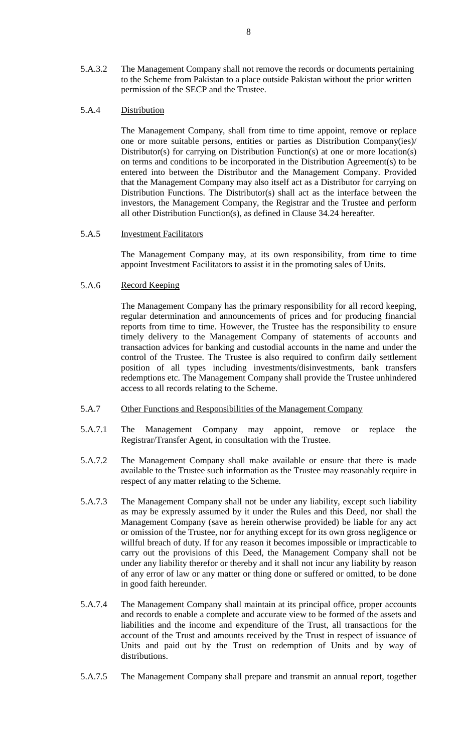5.A.3.2 The Management Company shall not remove the records or documents pertaining to the Scheme from Pakistan to a place outside Pakistan without the prior written permission of the SECP and the Trustee.

#### 5.A.4 Distribution

The Management Company, shall from time to time appoint, remove or replace one or more suitable persons, entities or parties as Distribution Company(ies)/ Distributor(s) for carrying on Distribution Function(s) at one or more location(s) on terms and conditions to be incorporated in the Distribution Agreement(s) to be entered into between the Distributor and the Management Company. Provided that the Management Company may also itself act as a Distributor for carrying on Distribution Functions. The Distributor(s) shall act as the interface between the investors, the Management Company, the Registrar and the Trustee and perform all other Distribution Function(s), as defined in Clause 34.24 hereafter.

#### 5.A.5 Investment Facilitators

The Management Company may, at its own responsibility, from time to time appoint Investment Facilitators to assist it in the promoting sales of Units.

#### 5.A.6 Record Keeping

The Management Company has the primary responsibility for all record keeping, regular determination and announcements of prices and for producing financial reports from time to time. However, the Trustee has the responsibility to ensure timely delivery to the Management Company of statements of accounts and transaction advices for banking and custodial accounts in the name and under the control of the Trustee. The Trustee is also required to confirm daily settlement position of all types including investments/disinvestments, bank transfers redemptions etc. The Management Company shall provide the Trustee unhindered access to all records relating to the Scheme.

- 5.A.7 Other Functions and Responsibilities of the Management Company
- 5.A.7.1 The Management Company may appoint, remove or replace the Registrar/Transfer Agent, in consultation with the Trustee.
- 5.A.7.2 The Management Company shall make available or ensure that there is made available to the Trustee such information as the Trustee may reasonably require in respect of any matter relating to the Scheme.
- 5.A.7.3 The Management Company shall not be under any liability, except such liability as may be expressly assumed by it under the Rules and this Deed, nor shall the Management Company (save as herein otherwise provided) be liable for any act or omission of the Trustee, nor for anything except for its own gross negligence or willful breach of duty. If for any reason it becomes impossible or impracticable to carry out the provisions of this Deed, the Management Company shall not be under any liability therefor or thereby and it shall not incur any liability by reason of any error of law or any matter or thing done or suffered or omitted, to be done in good faith hereunder.
- 5.A.7.4 The Management Company shall maintain at its principal office, proper accounts and records to enable a complete and accurate view to be formed of the assets and liabilities and the income and expenditure of the Trust, all transactions for the account of the Trust and amounts received by the Trust in respect of issuance of Units and paid out by the Trust on redemption of Units and by way of distributions.
- 5.A.7.5 The Management Company shall prepare and transmit an annual report, together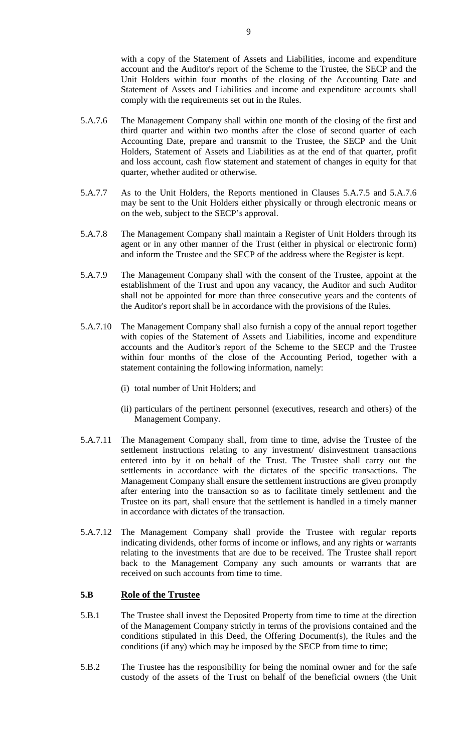with a copy of the Statement of Assets and Liabilities, income and expenditure account and the Auditor's report of the Scheme to the Trustee, the SECP and the Unit Holders within four months of the closing of the Accounting Date and Statement of Assets and Liabilities and income and expenditure accounts shall comply with the requirements set out in the Rules.

- 5.A.7.6 The Management Company shall within one month of the closing of the first and third quarter and within two months after the close of second quarter of each Accounting Date, prepare and transmit to the Trustee, the SECP and the Unit Holders, Statement of Assets and Liabilities as at the end of that quarter, profit and loss account, cash flow statement and statement of changes in equity for that quarter, whether audited or otherwise.
- 5.A.7.7 As to the Unit Holders, the Reports mentioned in Clauses 5.A.7.5 and 5.A.7.6 may be sent to the Unit Holders either physically or through electronic means or on the web, subject to the SECP's approval.
- 5.A.7.8 The Management Company shall maintain a Register of Unit Holders through its agent or in any other manner of the Trust (either in physical or electronic form) and inform the Trustee and the SECP of the address where the Register is kept.
- 5.A.7.9 The Management Company shall with the consent of the Trustee, appoint at the establishment of the Trust and upon any vacancy, the Auditor and such Auditor shall not be appointed for more than three consecutive years and the contents of the Auditor's report shall be in accordance with the provisions of the Rules.
- 5.A.7.10 The Management Company shall also furnish a copy of the annual report together with copies of the Statement of Assets and Liabilities, income and expenditure accounts and the Auditor's report of the Scheme to the SECP and the Trustee within four months of the close of the Accounting Period, together with a statement containing the following information, namely:
	- (i) total number of Unit Holders; and
	- (ii) particulars of the pertinent personnel (executives, research and others) of the Management Company.
- 5.A.7.11 The Management Company shall, from time to time, advise the Trustee of the settlement instructions relating to any investment/ disinvestment transactions entered into by it on behalf of the Trust. The Trustee shall carry out the settlements in accordance with the dictates of the specific transactions. The Management Company shall ensure the settlement instructions are given promptly after entering into the transaction so as to facilitate timely settlement and the Trustee on its part, shall ensure that the settlement is handled in a timely manner in accordance with dictates of the transaction.
- 5.A.7.12 The Management Company shall provide the Trustee with regular reports indicating dividends, other forms of income or inflows, and any rights or warrants relating to the investments that are due to be received. The Trustee shall report back to the Management Company any such amounts or warrants that are received on such accounts from time to time.

#### **5.B Role of the Trustee**

- 5.B.1 The Trustee shall invest the Deposited Property from time to time at the direction of the Management Company strictly in terms of the provisions contained and the conditions stipulated in this Deed, the Offering Document(s), the Rules and the conditions (if any) which may be imposed by the SECP from time to time;
- 5.B.2 The Trustee has the responsibility for being the nominal owner and for the safe custody of the assets of the Trust on behalf of the beneficial owners (the Unit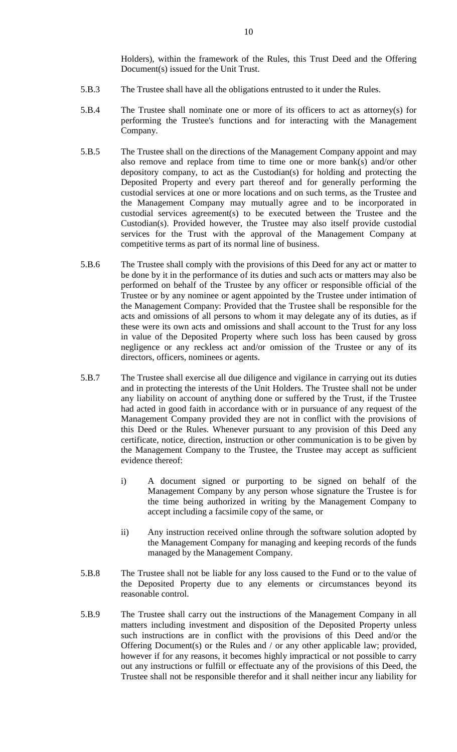Holders), within the framework of the Rules, this Trust Deed and the Offering Document(s) issued for the Unit Trust.

- 5.B.3 The Trustee shall have all the obligations entrusted to it under the Rules.
- 5.B.4 The Trustee shall nominate one or more of its officers to act as attorney(s) for performing the Trustee's functions and for interacting with the Management Company.
- 5.B.5 The Trustee shall on the directions of the Management Company appoint and may also remove and replace from time to time one or more bank(s) and/or other depository company, to act as the Custodian(s) for holding and protecting the Deposited Property and every part thereof and for generally performing the custodial services at one or more locations and on such terms, as the Trustee and the Management Company may mutually agree and to be incorporated in custodial services agreement(s) to be executed between the Trustee and the Custodian(s). Provided however, the Trustee may also itself provide custodial services for the Trust with the approval of the Management Company at competitive terms as part of its normal line of business.
- 5.B.6 The Trustee shall comply with the provisions of this Deed for any act or matter to be done by it in the performance of its duties and such acts or matters may also be performed on behalf of the Trustee by any officer or responsible official of the Trustee or by any nominee or agent appointed by the Trustee under intimation of the Management Company: Provided that the Trustee shall be responsible for the acts and omissions of all persons to whom it may delegate any of its duties, as if these were its own acts and omissions and shall account to the Trust for any loss in value of the Deposited Property where such loss has been caused by gross negligence or any reckless act and/or omission of the Trustee or any of its directors, officers, nominees or agents.
- 5.B.7 The Trustee shall exercise all due diligence and vigilance in carrying out its duties and in protecting the interests of the Unit Holders. The Trustee shall not be under any liability on account of anything done or suffered by the Trust, if the Trustee had acted in good faith in accordance with or in pursuance of any request of the Management Company provided they are not in conflict with the provisions of this Deed or the Rules. Whenever pursuant to any provision of this Deed any certificate, notice, direction, instruction or other communication is to be given by the Management Company to the Trustee, the Trustee may accept as sufficient evidence thereof:
	- i) A document signed or purporting to be signed on behalf of the Management Company by any person whose signature the Trustee is for the time being authorized in writing by the Management Company to accept including a facsimile copy of the same, or
	- ii) Any instruction received online through the software solution adopted by the Management Company for managing and keeping records of the funds managed by the Management Company.
- 5.B.8 The Trustee shall not be liable for any loss caused to the Fund or to the value of the Deposited Property due to any elements or circumstances beyond its reasonable control.
- 5.B.9 The Trustee shall carry out the instructions of the Management Company in all matters including investment and disposition of the Deposited Property unless such instructions are in conflict with the provisions of this Deed and/or the Offering Document(s) or the Rules and / or any other applicable law; provided, however if for any reasons, it becomes highly impractical or not possible to carry out any instructions or fulfill or effectuate any of the provisions of this Deed, the Trustee shall not be responsible therefor and it shall neither incur any liability for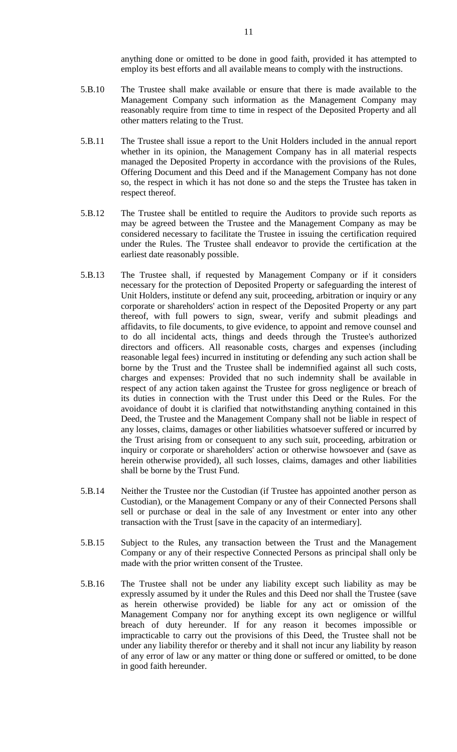anything done or omitted to be done in good faith, provided it has attempted to employ its best efforts and all available means to comply with the instructions.

- 5.B.10 The Trustee shall make available or ensure that there is made available to the Management Company such information as the Management Company may reasonably require from time to time in respect of the Deposited Property and all other matters relating to the Trust.
- 5.B.11 The Trustee shall issue a report to the Unit Holders included in the annual report whether in its opinion, the Management Company has in all material respects managed the Deposited Property in accordance with the provisions of the Rules, Offering Document and this Deed and if the Management Company has not done so, the respect in which it has not done so and the steps the Trustee has taken in respect thereof.
- 5.B.12 The Trustee shall be entitled to require the Auditors to provide such reports as may be agreed between the Trustee and the Management Company as may be considered necessary to facilitate the Trustee in issuing the certification required under the Rules. The Trustee shall endeavor to provide the certification at the earliest date reasonably possible.
- 5.B.13 The Trustee shall, if requested by Management Company or if it considers necessary for the protection of Deposited Property or safeguarding the interest of Unit Holders, institute or defend any suit, proceeding, arbitration or inquiry or any corporate or shareholders' action in respect of the Deposited Property or any part thereof, with full powers to sign, swear, verify and submit pleadings and affidavits, to file documents, to give evidence, to appoint and remove counsel and to do all incidental acts, things and deeds through the Trustee's authorized directors and officers. All reasonable costs, charges and expenses (including reasonable legal fees) incurred in instituting or defending any such action shall be borne by the Trust and the Trustee shall be indemnified against all such costs, charges and expenses: Provided that no such indemnity shall be available in respect of any action taken against the Trustee for gross negligence or breach of its duties in connection with the Trust under this Deed or the Rules. For the avoidance of doubt it is clarified that notwithstanding anything contained in this Deed, the Trustee and the Management Company shall not be liable in respect of any losses, claims, damages or other liabilities whatsoever suffered or incurred by the Trust arising from or consequent to any such suit, proceeding, arbitration or inquiry or corporate or shareholders' action or otherwise howsoever and (save as herein otherwise provided), all such losses, claims, damages and other liabilities shall be borne by the Trust Fund.
- 5.B.14 Neither the Trustee nor the Custodian (if Trustee has appointed another person as Custodian), or the Management Company or any of their Connected Persons shall sell or purchase or deal in the sale of any Investment or enter into any other transaction with the Trust [save in the capacity of an intermediary].
- 5.B.15 Subject to the Rules, any transaction between the Trust and the Management Company or any of their respective Connected Persons as principal shall only be made with the prior written consent of the Trustee.
- 5.B.16 The Trustee shall not be under any liability except such liability as may be expressly assumed by it under the Rules and this Deed nor shall the Trustee (save as herein otherwise provided) be liable for any act or omission of the Management Company nor for anything except its own negligence or willful breach of duty hereunder. If for any reason it becomes impossible or impracticable to carry out the provisions of this Deed, the Trustee shall not be under any liability therefor or thereby and it shall not incur any liability by reason of any error of law or any matter or thing done or suffered or omitted, to be done in good faith hereunder.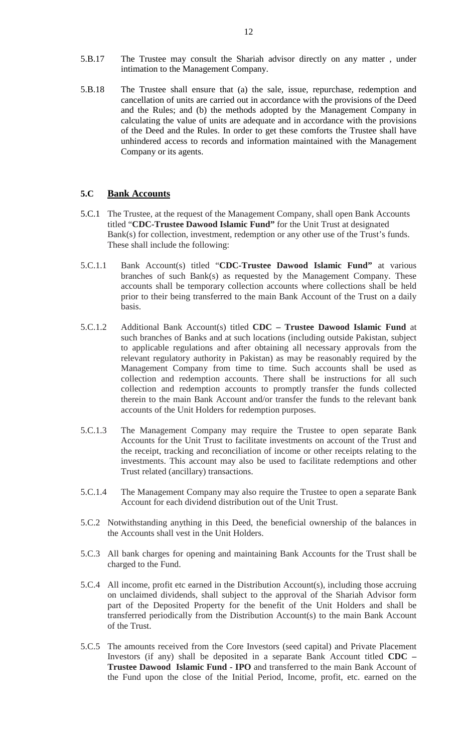- 5.B.17 The Trustee may consult the Shariah advisor directly on any matter , under intimation to the Management Company.
- 5.B.18 The Trustee shall ensure that (a) the sale, issue, repurchase, redemption and cancellation of units are carried out in accordance with the provisions of the Deed and the Rules; and (b) the methods adopted by the Management Company in calculating the value of units are adequate and in accordance with the provisions of the Deed and the Rules. In order to get these comforts the Trustee shall have unhindered access to records and information maintained with the Management Company or its agents.

#### **5.C Bank Accounts**

- 5.C.1 The Trustee, at the request of the Management Company, shall open Bank Accounts titled "**CDC-Trustee Dawood Islamic Fund"** for the Unit Trust at designated Bank(s) for collection, investment, redemption or any other use of the Trust's funds. These shall include the following:
- 5.C.1.1 Bank Account(s) titled "**CDC-Trustee Dawood Islamic Fund"** at various branches of such Bank(s) as requested by the Management Company. These accounts shall be temporary collection accounts where collections shall be held prior to their being transferred to the main Bank Account of the Trust on a daily basis.
- 5.C.1.2 Additional Bank Account(s) titled **CDC – Trustee Dawood Islamic Fund** at such branches of Banks and at such locations (including outside Pakistan, subject to applicable regulations and after obtaining all necessary approvals from the relevant regulatory authority in Pakistan) as may be reasonably required by the Management Company from time to time. Such accounts shall be used as collection and redemption accounts. There shall be instructions for all such collection and redemption accounts to promptly transfer the funds collected therein to the main Bank Account and/or transfer the funds to the relevant bank accounts of the Unit Holders for redemption purposes.
- 5.C.1.3 The Management Company may require the Trustee to open separate Bank Accounts for the Unit Trust to facilitate investments on account of the Trust and the receipt, tracking and reconciliation of income or other receipts relating to the investments. This account may also be used to facilitate redemptions and other Trust related (ancillary) transactions.
- 5.C.1.4 The Management Company may also require the Trustee to open a separate Bank Account for each dividend distribution out of the Unit Trust.
- 5.C.2 Notwithstanding anything in this Deed, the beneficial ownership of the balances in the Accounts shall vest in the Unit Holders.
- 5.C.3 All bank charges for opening and maintaining Bank Accounts for the Trust shall be charged to the Fund.
- 5.C.4 All income, profit etc earned in the Distribution Account(s), including those accruing on unclaimed dividends, shall subject to the approval of the Shariah Advisor form part of the Deposited Property for the benefit of the Unit Holders and shall be transferred periodically from the Distribution Account(s) to the main Bank Account of the Trust.
- 5.C.5 The amounts received from the Core Investors (seed capital) and Private Placement Investors (if any) shall be deposited in a separate Bank Account titled **CDC – Trustee Dawood Islamic Fund - IPO** and transferred to the main Bank Account of the Fund upon the close of the Initial Period, Income, profit, etc. earned on the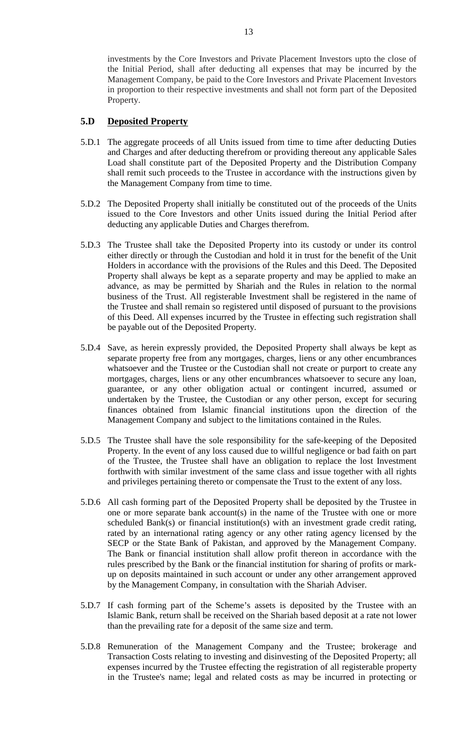#### **5.D Deposited Property**

- 5.D.1 The aggregate proceeds of all Units issued from time to time after deducting Duties and Charges and after deducting therefrom or providing thereout any applicable Sales Load shall constitute part of the Deposited Property and the Distribution Company shall remit such proceeds to the Trustee in accordance with the instructions given by the Management Company from time to time.
- 5.D.2 The Deposited Property shall initially be constituted out of the proceeds of the Units issued to the Core Investors and other Units issued during the Initial Period after deducting any applicable Duties and Charges therefrom.
- 5.D.3 The Trustee shall take the Deposited Property into its custody or under its control either directly or through the Custodian and hold it in trust for the benefit of the Unit Holders in accordance with the provisions of the Rules and this Deed. The Deposited Property shall always be kept as a separate property and may be applied to make an advance, as may be permitted by Shariah and the Rules in relation to the normal business of the Trust. All registerable Investment shall be registered in the name of the Trustee and shall remain so registered until disposed of pursuant to the provisions of this Deed. All expenses incurred by the Trustee in effecting such registration shall be payable out of the Deposited Property.
- 5.D.4 Save, as herein expressly provided, the Deposited Property shall always be kept as separate property free from any mortgages, charges, liens or any other encumbrances whatsoever and the Trustee or the Custodian shall not create or purport to create any mortgages, charges, liens or any other encumbrances whatsoever to secure any loan, guarantee, or any other obligation actual or contingent incurred, assumed or undertaken by the Trustee, the Custodian or any other person, except for securing finances obtained from Islamic financial institutions upon the direction of the Management Company and subject to the limitations contained in the Rules.
- 5.D.5 The Trustee shall have the sole responsibility for the safe-keeping of the Deposited Property. In the event of any loss caused due to willful negligence or bad faith on part of the Trustee, the Trustee shall have an obligation to replace the lost Investment forthwith with similar investment of the same class and issue together with all rights and privileges pertaining thereto or compensate the Trust to the extent of any loss.
- 5.D.6 All cash forming part of the Deposited Property shall be deposited by the Trustee in one or more separate bank account(s) in the name of the Trustee with one or more scheduled Bank(s) or financial institution(s) with an investment grade credit rating, rated by an international rating agency or any other rating agency licensed by the SECP or the State Bank of Pakistan, and approved by the Management Company. The Bank or financial institution shall allow profit thereon in accordance with the rules prescribed by the Bank or the financial institution for sharing of profits or markup on deposits maintained in such account or under any other arrangement approved by the Management Company, in consultation with the Shariah Adviser.
- 5.D.7 If cash forming part of the Scheme's assets is deposited by the Trustee with an Islamic Bank, return shall be received on the Shariah based deposit at a rate not lower than the prevailing rate for a deposit of the same size and term.
- 5.D.8 Remuneration of the Management Company and the Trustee; brokerage and Transaction Costs relating to investing and disinvesting of the Deposited Property; all expenses incurred by the Trustee effecting the registration of all registerable property in the Trustee's name; legal and related costs as may be incurred in protecting or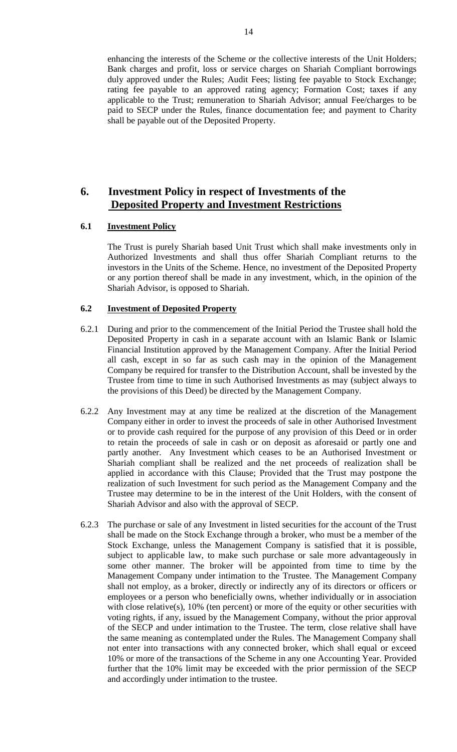enhancing the interests of the Scheme or the collective interests of the Unit Holders; Bank charges and profit, loss or service charges on Shariah Compliant borrowings duly approved under the Rules; Audit Fees; listing fee payable to Stock Exchange; rating fee payable to an approved rating agency; Formation Cost; taxes if any applicable to the Trust; remuneration to Shariah Advisor; annual Fee/charges to be paid to SECP under the Rules, finance documentation fee; and payment to Charity shall be payable out of the Deposited Property.

# **6. Investment Policy in respect of Investments of the Deposited Property and Investment Restrictions**

#### **6.1 Investment Policy**

The Trust is purely Shariah based Unit Trust which shall make investments only in Authorized Investments and shall thus offer Shariah Compliant returns to the investors in the Units of the Scheme. Hence, no investment of the Deposited Property or any portion thereof shall be made in any investment, which, in the opinion of the Shariah Advisor, is opposed to Shariah.

#### **6.2 Investment of Deposited Property**

- 6.2.1 During and prior to the commencement of the Initial Period the Trustee shall hold the Deposited Property in cash in a separate account with an Islamic Bank or Islamic Financial Institution approved by the Management Company. After the Initial Period all cash, except in so far as such cash may in the opinion of the Management Company be required for transfer to the Distribution Account, shall be invested by the Trustee from time to time in such Authorised Investments as may (subject always to the provisions of this Deed) be directed by the Management Company.
- 6.2.2 Any Investment may at any time be realized at the discretion of the Management Company either in order to invest the proceeds of sale in other Authorised Investment or to provide cash required for the purpose of any provision of this Deed or in order to retain the proceeds of sale in cash or on deposit as aforesaid or partly one and partly another. Any Investment which ceases to be an Authorised Investment or Shariah compliant shall be realized and the net proceeds of realization shall be applied in accordance with this Clause; Provided that the Trust may postpone the realization of such Investment for such period as the Management Company and the Trustee may determine to be in the interest of the Unit Holders, with the consent of Shariah Advisor and also with the approval of SECP.
- 6.2.3 The purchase or sale of any Investment in listed securities for the account of the Trust shall be made on the Stock Exchange through a broker, who must be a member of the Stock Exchange, unless the Management Company is satisfied that it is possible, subject to applicable law, to make such purchase or sale more advantageously in some other manner. The broker will be appointed from time to time by the Management Company under intimation to the Trustee. The Management Company shall not employ, as a broker, directly or indirectly any of its directors or officers or employees or a person who beneficially owns, whether individually or in association with close relative(s), 10% (ten percent) or more of the equity or other securities with voting rights, if any, issued by the Management Company, without the prior approval of the SECP and under intimation to the Trustee. The term, close relative shall have the same meaning as contemplated under the Rules. The Management Company shall not enter into transactions with any connected broker, which shall equal or exceed 10% or more of the transactions of the Scheme in any one Accounting Year. Provided further that the 10% limit may be exceeded with the prior permission of the SECP and accordingly under intimation to the trustee.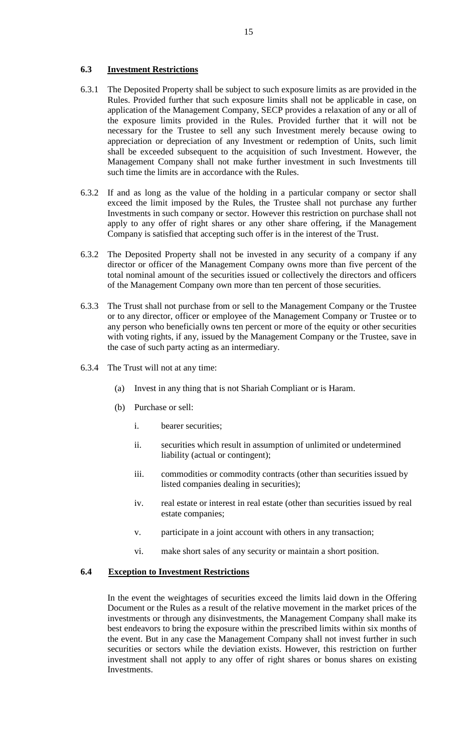#### **6.3 Investment Restrictions**

- 6.3.1 The Deposited Property shall be subject to such exposure limits as are provided in the Rules. Provided further that such exposure limits shall not be applicable in case, on application of the Management Company, SECP provides a relaxation of any or all of the exposure limits provided in the Rules. Provided further that it will not be necessary for the Trustee to sell any such Investment merely because owing to appreciation or depreciation of any Investment or redemption of Units, such limit shall be exceeded subsequent to the acquisition of such Investment. However, the Management Company shall not make further investment in such Investments till such time the limits are in accordance with the Rules.
- 6.3.2 If and as long as the value of the holding in a particular company or sector shall exceed the limit imposed by the Rules, the Trustee shall not purchase any further Investments in such company or sector. However this restriction on purchase shall not apply to any offer of right shares or any other share offering, if the Management Company is satisfied that accepting such offer is in the interest of the Trust.
- 6.3.2 The Deposited Property shall not be invested in any security of a company if any director or officer of the Management Company owns more than five percent of the total nominal amount of the securities issued or collectively the directors and officers of the Management Company own more than ten percent of those securities.
- 6.3.3 The Trust shall not purchase from or sell to the Management Company or the Trustee or to any director, officer or employee of the Management Company or Trustee or to any person who beneficially owns ten percent or more of the equity or other securities with voting rights, if any, issued by the Management Company or the Trustee, save in the case of such party acting as an intermediary.
- 6.3.4 The Trust will not at any time:
	- (a) Invest in any thing that is not Shariah Compliant or is Haram.
	- (b) Purchase or sell:
		- i. bearer securities;
		- ii. securities which result in assumption of unlimited or undetermined liability (actual or contingent);
		- iii. commodities or commodity contracts (other than securities issued by listed companies dealing in securities);
		- iv. real estate or interest in real estate (other than securities issued by real estate companies;
		- v. participate in a joint account with others in any transaction;
		- vi. make short sales of any security or maintain a short position.

#### **6.4 Exception to Investment Restrictions**

In the event the weightages of securities exceed the limits laid down in the Offering Document or the Rules as a result of the relative movement in the market prices of the investments or through any disinvestments, the Management Company shall make its best endeavors to bring the exposure within the prescribed limits within six months of the event. But in any case the Management Company shall not invest further in such securities or sectors while the deviation exists. However, this restriction on further investment shall not apply to any offer of right shares or bonus shares on existing Investments.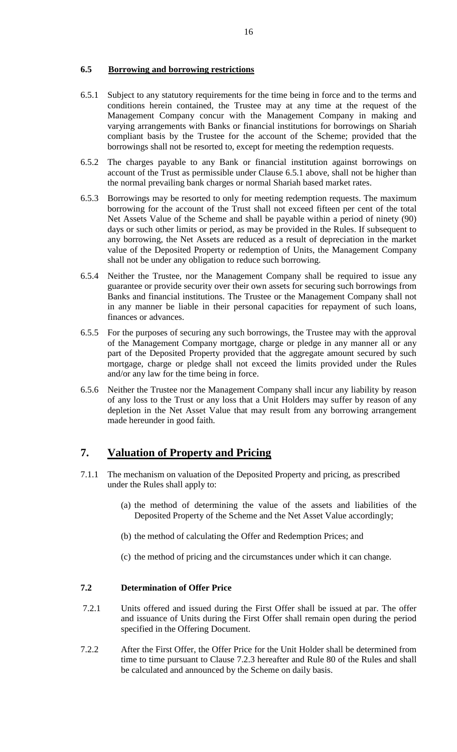#### **6.5 Borrowing and borrowing restrictions**

- 6.5.1 Subject to any statutory requirements for the time being in force and to the terms and conditions herein contained, the Trustee may at any time at the request of the Management Company concur with the Management Company in making and varying arrangements with Banks or financial institutions for borrowings on Shariah compliant basis by the Trustee for the account of the Scheme; provided that the borrowings shall not be resorted to, except for meeting the redemption requests.
- 6.5.2 The charges payable to any Bank or financial institution against borrowings on account of the Trust as permissible under Clause 6.5.1 above, shall not be higher than the normal prevailing bank charges or normal Shariah based market rates.
- 6.5.3 Borrowings may be resorted to only for meeting redemption requests. The maximum borrowing for the account of the Trust shall not exceed fifteen per cent of the total Net Assets Value of the Scheme and shall be payable within a period of ninety (90) days or such other limits or period, as may be provided in the Rules. If subsequent to any borrowing, the Net Assets are reduced as a result of depreciation in the market value of the Deposited Property or redemption of Units, the Management Company shall not be under any obligation to reduce such borrowing.
- 6.5.4 Neither the Trustee, nor the Management Company shall be required to issue any guarantee or provide security over their own assets for securing such borrowings from Banks and financial institutions. The Trustee or the Management Company shall not in any manner be liable in their personal capacities for repayment of such loans, finances or advances.
- 6.5.5 For the purposes of securing any such borrowings, the Trustee may with the approval of the Management Company mortgage, charge or pledge in any manner all or any part of the Deposited Property provided that the aggregate amount secured by such mortgage, charge or pledge shall not exceed the limits provided under the Rules and/or any law for the time being in force.
- 6.5.6 Neither the Trustee nor the Management Company shall incur any liability by reason of any loss to the Trust or any loss that a Unit Holders may suffer by reason of any depletion in the Net Asset Value that may result from any borrowing arrangement made hereunder in good faith.

# **7. Valuation of Property and Pricing**

- 7.1.1 The mechanism on valuation of the Deposited Property and pricing, as prescribed under the Rules shall apply to:
	- (a) the method of determining the value of the assets and liabilities of the Deposited Property of the Scheme and the Net Asset Value accordingly;
	- (b) the method of calculating the Offer and Redemption Prices; and
	- (c) the method of pricing and the circumstances under which it can change.

#### **7.2 Determination of Offer Price**

- 7.2.1 Units offered and issued during the First Offer shall be issued at par. The offer and issuance of Units during the First Offer shall remain open during the period specified in the Offering Document.
- 7.2.2 After the First Offer, the Offer Price for the Unit Holder shall be determined from time to time pursuant to Clause 7.2.3 hereafter and Rule 80 of the Rules and shall be calculated and announced by the Scheme on daily basis.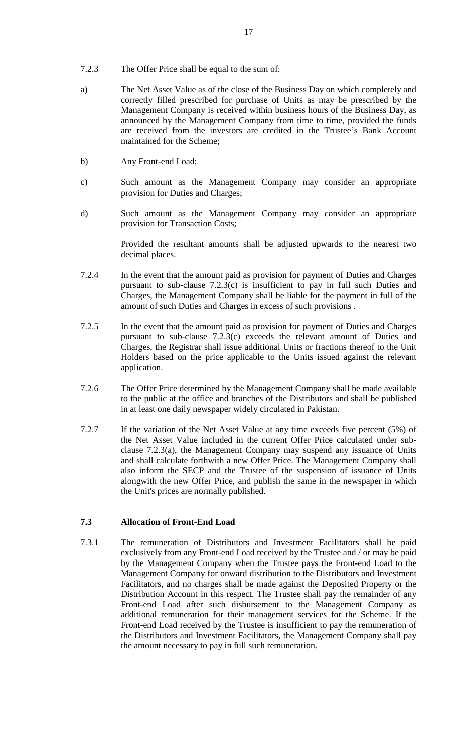- 7.2.3 The Offer Price shall be equal to the sum of:
- a) The Net Asset Value as of the close of the Business Day on which completely and correctly filled prescribed for purchase of Units as may be prescribed by the Management Company is received within business hours of the Business Day, as announced by the Management Company from time to time, provided the funds are received from the investors are credited in the Trustee's Bank Account maintained for the Scheme;
- b) Any Front-end Load;
- c) Such amount as the Management Company may consider an appropriate provision for Duties and Charges;
- d) Such amount as the Management Company may consider an appropriate provision for Transaction Costs;

Provided the resultant amounts shall be adjusted upwards to the nearest two decimal places.

- 7.2.4 In the event that the amount paid as provision for payment of Duties and Charges pursuant to sub-clause 7.2.3(c) is insufficient to pay in full such Duties and Charges, the Management Company shall be liable for the payment in full of the amount of such Duties and Charges in excess of such provisions .
- 7.2.5 In the event that the amount paid as provision for payment of Duties and Charges pursuant to sub-clause 7.2.3(c) exceeds the relevant amount of Duties and Charges, the Registrar shall issue additional Units or fractions thereof to the Unit Holders based on the price applicable to the Units issued against the relevant application.
- 7.2.6 The Offer Price determined by the Management Company shall be made available to the public at the office and branches of the Distributors and shall be published in at least one daily newspaper widely circulated in Pakistan.
- 7.2.7 If the variation of the Net Asset Value at any time exceeds five percent (5%) of the Net Asset Value included in the current Offer Price calculated under subclause 7.2.3(a), the Management Company may suspend any issuance of Units and shall calculate forthwith a new Offer Price. The Management Company shall also inform the SECP and the Trustee of the suspension of issuance of Units alongwith the new Offer Price, and publish the same in the newspaper in which the Unit's prices are normally published.

#### **7.3 Allocation of Front-End Load**

7.3.1 The remuneration of Distributors and Investment Facilitators shall be paid exclusively from any Front-end Load received by the Trustee and / or may be paid by the Management Company when the Trustee pays the Front-end Load to the Management Company for onward distribution to the Distributors and Investment Facilitators, and no charges shall be made against the Deposited Property or the Distribution Account in this respect. The Trustee shall pay the remainder of any Front-end Load after such disbursement to the Management Company as additional remuneration for their management services for the Scheme. If the Front-end Load received by the Trustee is insufficient to pay the remuneration of the Distributors and Investment Facilitators, the Management Company shall pay the amount necessary to pay in full such remuneration.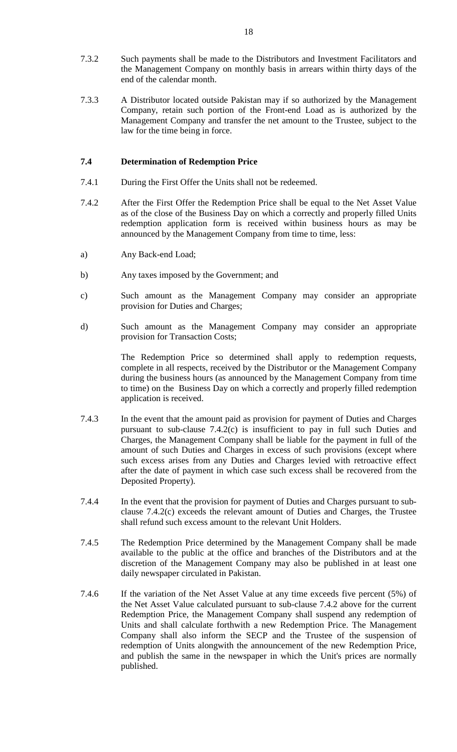- 7.3.2 Such payments shall be made to the Distributors and Investment Facilitators and the Management Company on monthly basis in arrears within thirty days of the end of the calendar month.
- 7.3.3 A Distributor located outside Pakistan may if so authorized by the Management Company, retain such portion of the Front-end Load as is authorized by the Management Company and transfer the net amount to the Trustee, subject to the law for the time being in force.

### **7.4 Determination of Redemption Price**

- 7.4.1 During the First Offer the Units shall not be redeemed.
- 7.4.2 After the First Offer the Redemption Price shall be equal to the Net Asset Value as of the close of the Business Day on which a correctly and properly filled Units redemption application form is received within business hours as may be announced by the Management Company from time to time, less:
- a) Any Back-end Load;
- b) Any taxes imposed by the Government; and
- c) Such amount as the Management Company may consider an appropriate provision for Duties and Charges;
- d) Such amount as the Management Company may consider an appropriate provision for Transaction Costs;

The Redemption Price so determined shall apply to redemption requests, complete in all respects, received by the Distributor or the Management Company during the business hours (as announced by the Management Company from time to time) on the Business Day on which a correctly and properly filled redemption application is received.

- 7.4.3 In the event that the amount paid as provision for payment of Duties and Charges pursuant to sub-clause 7.4.2(c) is insufficient to pay in full such Duties and Charges, the Management Company shall be liable for the payment in full of the amount of such Duties and Charges in excess of such provisions (except where such excess arises from any Duties and Charges levied with retroactive effect after the date of payment in which case such excess shall be recovered from the Deposited Property).
- 7.4.4 In the event that the provision for payment of Duties and Charges pursuant to subclause 7.4.2(c) exceeds the relevant amount of Duties and Charges, the Trustee shall refund such excess amount to the relevant Unit Holders.
- 7.4.5 The Redemption Price determined by the Management Company shall be made available to the public at the office and branches of the Distributors and at the discretion of the Management Company may also be published in at least one daily newspaper circulated in Pakistan.
- 7.4.6 If the variation of the Net Asset Value at any time exceeds five percent (5%) of the Net Asset Value calculated pursuant to sub-clause 7.4.2 above for the current Redemption Price, the Management Company shall suspend any redemption of Units and shall calculate forthwith a new Redemption Price. The Management Company shall also inform the SECP and the Trustee of the suspension of redemption of Units alongwith the announcement of the new Redemption Price, and publish the same in the newspaper in which the Unit's prices are normally published.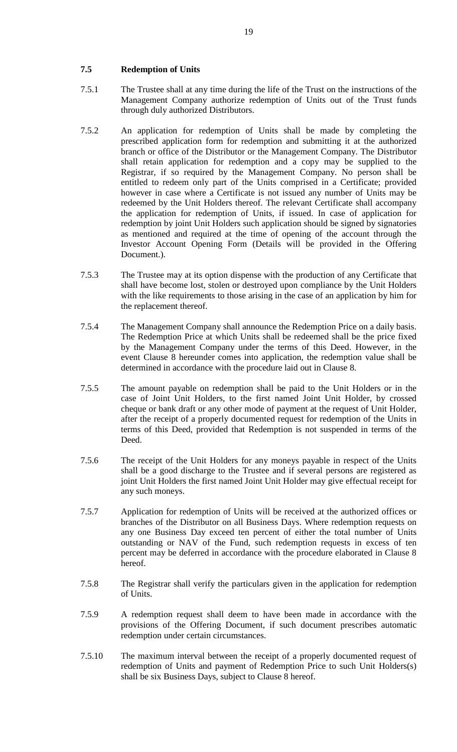#### **7.5 Redemption of Units**

- 7.5.1 The Trustee shall at any time during the life of the Trust on the instructions of the Management Company authorize redemption of Units out of the Trust funds through duly authorized Distributors.
- 7.5.2 An application for redemption of Units shall be made by completing the prescribed application form for redemption and submitting it at the authorized branch or office of the Distributor or the Management Company. The Distributor shall retain application for redemption and a copy may be supplied to the Registrar, if so required by the Management Company. No person shall be entitled to redeem only part of the Units comprised in a Certificate; provided however in case where a Certificate is not issued any number of Units may be redeemed by the Unit Holders thereof. The relevant Certificate shall accompany the application for redemption of Units, if issued. In case of application for redemption by joint Unit Holders such application should be signed by signatories as mentioned and required at the time of opening of the account through the Investor Account Opening Form (Details will be provided in the Offering Document.).
- 7.5.3 The Trustee may at its option dispense with the production of any Certificate that shall have become lost, stolen or destroyed upon compliance by the Unit Holders with the like requirements to those arising in the case of an application by him for the replacement thereof.
- 7.5.4 The Management Company shall announce the Redemption Price on a daily basis. The Redemption Price at which Units shall be redeemed shall be the price fixed by the Management Company under the terms of this Deed. However, in the event Clause 8 hereunder comes into application, the redemption value shall be determined in accordance with the procedure laid out in Clause 8.
- 7.5.5 The amount payable on redemption shall be paid to the Unit Holders or in the case of Joint Unit Holders, to the first named Joint Unit Holder, by crossed cheque or bank draft or any other mode of payment at the request of Unit Holder, after the receipt of a properly documented request for redemption of the Units in terms of this Deed, provided that Redemption is not suspended in terms of the Deed.
- 7.5.6 The receipt of the Unit Holders for any moneys payable in respect of the Units shall be a good discharge to the Trustee and if several persons are registered as joint Unit Holders the first named Joint Unit Holder may give effectual receipt for any such moneys.
- 7.5.7 Application for redemption of Units will be received at the authorized offices or branches of the Distributor on all Business Days. Where redemption requests on any one Business Day exceed ten percent of either the total number of Units outstanding or NAV of the Fund, such redemption requests in excess of ten percent may be deferred in accordance with the procedure elaborated in Clause 8 hereof.
- 7.5.8 The Registrar shall verify the particulars given in the application for redemption of Units.
- 7.5.9 A redemption request shall deem to have been made in accordance with the provisions of the Offering Document, if such document prescribes automatic redemption under certain circumstances.
- 7.5.10 The maximum interval between the receipt of a properly documented request of redemption of Units and payment of Redemption Price to such Unit Holders(s) shall be six Business Days, subject to Clause 8 hereof.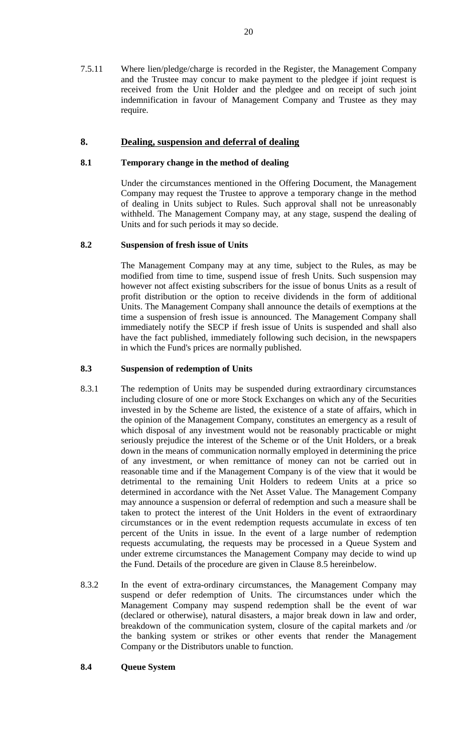7.5.11 Where lien/pledge/charge is recorded in the Register, the Management Company and the Trustee may concur to make payment to the pledgee if joint request is received from the Unit Holder and the pledgee and on receipt of such joint indemnification in favour of Management Company and Trustee as they may require.

### **8. Dealing, suspension and deferral of dealing**

#### **8.1 Temporary change in the method of dealing**

Under the circumstances mentioned in the Offering Document, the Management Company may request the Trustee to approve a temporary change in the method of dealing in Units subject to Rules. Such approval shall not be unreasonably withheld. The Management Company may, at any stage, suspend the dealing of Units and for such periods it may so decide.

#### **8.2 Suspension of fresh issue of Units**

The Management Company may at any time, subject to the Rules, as may be modified from time to time, suspend issue of fresh Units. Such suspension may however not affect existing subscribers for the issue of bonus Units as a result of profit distribution or the option to receive dividends in the form of additional Units. The Management Company shall announce the details of exemptions at the time a suspension of fresh issue is announced. The Management Company shall immediately notify the SECP if fresh issue of Units is suspended and shall also have the fact published, immediately following such decision, in the newspapers in which the Fund's prices are normally published.

### **8.3 Suspension of redemption of Units**

- 8.3.1 The redemption of Units may be suspended during extraordinary circumstances including closure of one or more Stock Exchanges on which any of the Securities invested in by the Scheme are listed, the existence of a state of affairs, which in the opinion of the Management Company, constitutes an emergency as a result of which disposal of any investment would not be reasonably practicable or might seriously prejudice the interest of the Scheme or of the Unit Holders, or a break down in the means of communication normally employed in determining the price of any investment, or when remittance of money can not be carried out in reasonable time and if the Management Company is of the view that it would be detrimental to the remaining Unit Holders to redeem Units at a price so determined in accordance with the Net Asset Value. The Management Company may announce a suspension or deferral of redemption and such a measure shall be taken to protect the interest of the Unit Holders in the event of extraordinary circumstances or in the event redemption requests accumulate in excess of ten percent of the Units in issue. In the event of a large number of redemption requests accumulating, the requests may be processed in a Queue System and under extreme circumstances the Management Company may decide to wind up the Fund. Details of the procedure are given in Clause 8.5 hereinbelow.
- 8.3.2 In the event of extra-ordinary circumstances, the Management Company may suspend or defer redemption of Units. The circumstances under which the Management Company may suspend redemption shall be the event of war (declared or otherwise), natural disasters, a major break down in law and order, breakdown of the communication system, closure of the capital markets and /or the banking system or strikes or other events that render the Management Company or the Distributors unable to function.

### **8.4 Queue System**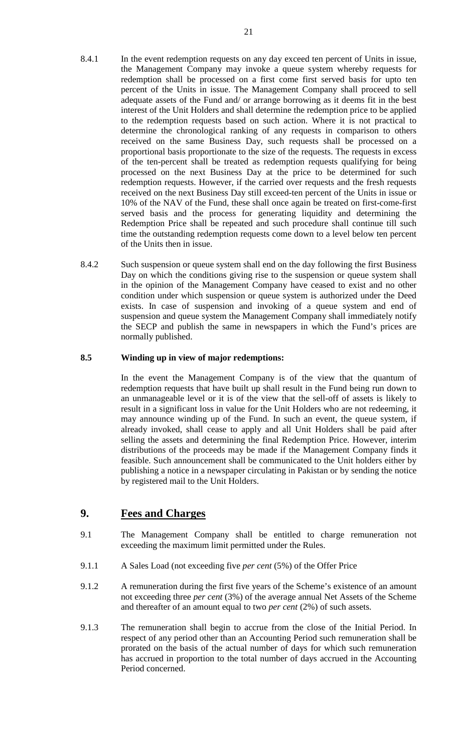- 8.4.1 In the event redemption requests on any day exceed ten percent of Units in issue, the Management Company may invoke a queue system whereby requests for redemption shall be processed on a first come first served basis for upto ten percent of the Units in issue. The Management Company shall proceed to sell adequate assets of the Fund and/ or arrange borrowing as it deems fit in the best interest of the Unit Holders and shall determine the redemption price to be applied to the redemption requests based on such action. Where it is not practical to determine the chronological ranking of any requests in comparison to others received on the same Business Day, such requests shall be processed on a proportional basis proportionate to the size of the requests. The requests in excess of the ten-percent shall be treated as redemption requests qualifying for being processed on the next Business Day at the price to be determined for such redemption requests. However, if the carried over requests and the fresh requests received on the next Business Day still exceed-ten percent of the Units in issue or 10% of the NAV of the Fund, these shall once again be treated on first-come-first served basis and the process for generating liquidity and determining the Redemption Price shall be repeated and such procedure shall continue till such time the outstanding redemption requests come down to a level below ten percent of the Units then in issue.
- 8.4.2 Such suspension or queue system shall end on the day following the first Business Day on which the conditions giving rise to the suspension or queue system shall in the opinion of the Management Company have ceased to exist and no other condition under which suspension or queue system is authorized under the Deed exists. In case of suspension and invoking of a queue system and end of suspension and queue system the Management Company shall immediately notify the SECP and publish the same in newspapers in which the Fund's prices are normally published.

#### **8.5 Winding up in view of major redemptions:**

In the event the Management Company is of the view that the quantum of redemption requests that have built up shall result in the Fund being run down to an unmanageable level or it is of the view that the sell-off of assets is likely to result in a significant loss in value for the Unit Holders who are not redeeming, it may announce winding up of the Fund. In such an event, the queue system, if already invoked, shall cease to apply and all Unit Holders shall be paid after selling the assets and determining the final Redemption Price. However, interim distributions of the proceeds may be made if the Management Company finds it feasible. Such announcement shall be communicated to the Unit holders either by publishing a notice in a newspaper circulating in Pakistan or by sending the notice by registered mail to the Unit Holders.

## **9. Fees and Charges**

- 9.1 The Management Company shall be entitled to charge remuneration not exceeding the maximum limit permitted under the Rules.
- 9.1.1 A Sales Load (not exceeding five *per cent* (5%) of the Offer Price
- 9.1.2 A remuneration during the first five years of the Scheme's existence of an amount not exceeding three *per cent* (3%) of the average annual Net Assets of the Scheme and thereafter of an amount equal to two *per cent* (2%) of such assets.
- 9.1.3 The remuneration shall begin to accrue from the close of the Initial Period. In respect of any period other than an Accounting Period such remuneration shall be prorated on the basis of the actual number of days for which such remuneration has accrued in proportion to the total number of days accrued in the Accounting Period concerned.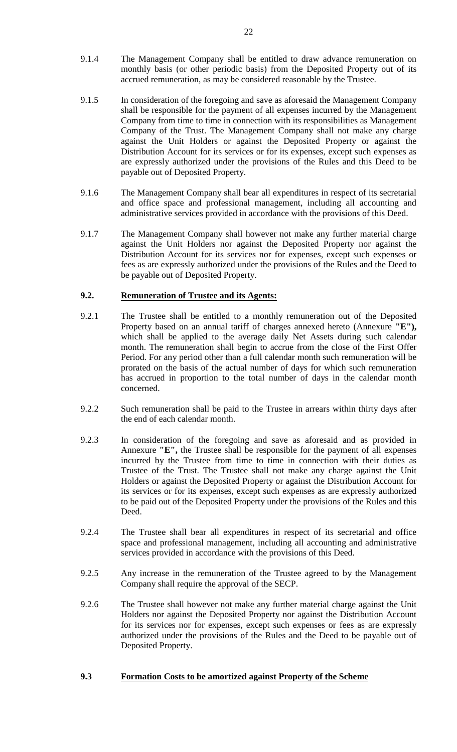- 9.1.4 The Management Company shall be entitled to draw advance remuneration on monthly basis (or other periodic basis) from the Deposited Property out of its accrued remuneration, as may be considered reasonable by the Trustee.
- 9.1.5 In consideration of the foregoing and save as aforesaid the Management Company shall be responsible for the payment of all expenses incurred by the Management Company from time to time in connection with its responsibilities as Management Company of the Trust. The Management Company shall not make any charge against the Unit Holders or against the Deposited Property or against the Distribution Account for its services or for its expenses, except such expenses as are expressly authorized under the provisions of the Rules and this Deed to be payable out of Deposited Property.
- 9.1.6 The Management Company shall bear all expenditures in respect of its secretarial and office space and professional management, including all accounting and administrative services provided in accordance with the provisions of this Deed.
- 9.1.7 The Management Company shall however not make any further material charge against the Unit Holders nor against the Deposited Property nor against the Distribution Account for its services nor for expenses, except such expenses or fees as are expressly authorized under the provisions of the Rules and the Deed to be payable out of Deposited Property.

#### **9.2. Remuneration of Trustee and its Agents:**

- 9.2.1 The Trustee shall be entitled to a monthly remuneration out of the Deposited Property based on an annual tariff of charges annexed hereto (Annexure "E"), which shall be applied to the average daily Net Assets during such calendar month. The remuneration shall begin to accrue from the close of the First Offer Period. For any period other than a full calendar month such remuneration will be prorated on the basis of the actual number of days for which such remuneration has accrued in proportion to the total number of days in the calendar month concerned.
- 9.2.2 Such remuneration shall be paid to the Trustee in arrears within thirty days after the end of each calendar month.
- 9.2.3 In consideration of the foregoing and save as aforesaid and as provided in Annexure **"E",** the Trustee shall be responsible for the payment of all expenses incurred by the Trustee from time to time in connection with their duties as Trustee of the Trust. The Trustee shall not make any charge against the Unit Holders or against the Deposited Property or against the Distribution Account for its services or for its expenses, except such expenses as are expressly authorized to be paid out of the Deposited Property under the provisions of the Rules and this Deed.
- 9.2.4 The Trustee shall bear all expenditures in respect of its secretarial and office space and professional management, including all accounting and administrative services provided in accordance with the provisions of this Deed.
- 9.2.5 Any increase in the remuneration of the Trustee agreed to by the Management Company shall require the approval of the SECP.
- 9.2.6 The Trustee shall however not make any further material charge against the Unit Holders nor against the Deposited Property nor against the Distribution Account for its services nor for expenses, except such expenses or fees as are expressly authorized under the provisions of the Rules and the Deed to be payable out of Deposited Property.

#### **9.3 Formation Costs to be amortized against Property of the Scheme**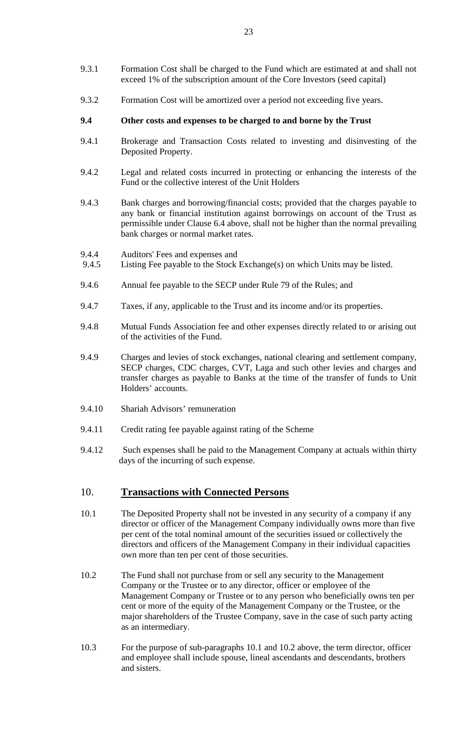- 9.3.1 Formation Cost shall be charged to the Fund which are estimated at and shall not exceed 1% of the subscription amount of the Core Investors (seed capital)
- 9.3.2 Formation Cost will be amortized over a period not exceeding five years.

#### **9.4 Other costs and expenses to be charged to and borne by the Trust**

- 9.4.1 Brokerage and Transaction Costs related to investing and disinvesting of the Deposited Property.
- 9.4.2 Legal and related costs incurred in protecting or enhancing the interests of the Fund or the collective interest of the Unit Holders
- 9.4.3 Bank charges and borrowing/financial costs; provided that the charges payable to any bank or financial institution against borrowings on account of the Trust as permissible under Clause 6.4 above, shall not be higher than the normal prevailing bank charges or normal market rates.
- 9.4.4 Auditors' Fees and expenses and<br>9.4.5 Listing Fee payable to the Stock
- Listing Fee payable to the Stock Exchange(s) on which Units may be listed.
- 9.4.6 Annual fee payable to the SECP under Rule 79 of the Rules; and
- 9.4.7 Taxes, if any, applicable to the Trust and its income and/or its properties.
- 9.4.8 Mutual Funds Association fee and other expenses directly related to or arising out of the activities of the Fund.
- 9.4.9 Charges and levies of stock exchanges, national clearing and settlement company, SECP charges, CDC charges, CVT, Laga and such other levies and charges and transfer charges as payable to Banks at the time of the transfer of funds to Unit Holders' accounts.
- 9.4.10 Shariah Advisors' remuneration
- 9.4.11 Credit rating fee payable against rating of the Scheme
- 9.4.12 Such expenses shall be paid to the Management Company at actuals within thirty days of the incurring of such expense.

## 10. **Transactions with Connected Persons**

- 10.1 The Deposited Property shall not be invested in any security of a company if any director or officer of the Management Company individually owns more than five per cent of the total nominal amount of the securities issued or collectively the directors and officers of the Management Company in their individual capacities own more than ten per cent of those securities.
- 10.2 The Fund shall not purchase from or sell any security to the Management Company or the Trustee or to any director, officer or employee of the Management Company or Trustee or to any person who beneficially owns ten per cent or more of the equity of the Management Company or the Trustee, or the major shareholders of the Trustee Company, save in the case of such party acting as an intermediary.
- 10.3 For the purpose of sub-paragraphs 10.1 and 10.2 above, the term director, officer and employee shall include spouse, lineal ascendants and descendants, brothers and sisters.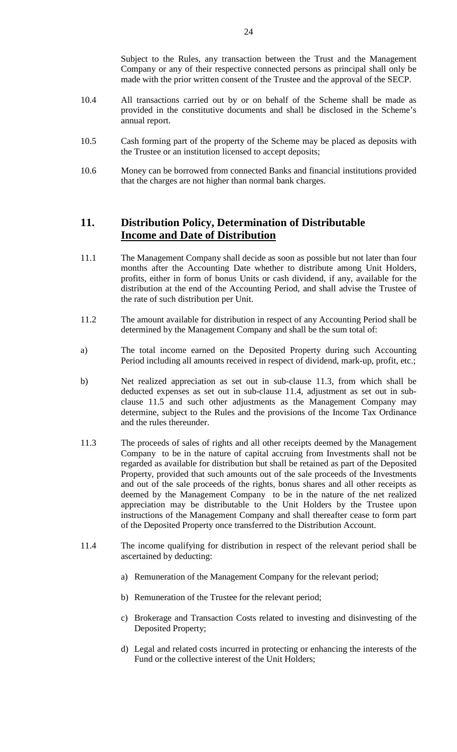Subject to the Rules, any transaction between the Trust and the Management Company or any of their respective connected persons as principal shall only be made with the prior written consent of the Trustee and the approval of the SECP.

- 10.4 All transactions carried out by or on behalf of the Scheme shall be made as provided in the constitutive documents and shall be disclosed in the Scheme's annual report.
- 10.5 Cash forming part of the property of the Scheme may be placed as deposits with the Trustee or an institution licensed to accept deposits;
- 10.6 Money can be borrowed from connected Banks and financial institutions provided that the charges are not higher than normal bank charges.

# **11. Distribution Policy, Determination of Distributable Income and Date of Distribution**

- 11.1 The Management Company shall decide as soon as possible but not later than four months after the Accounting Date whether to distribute among Unit Holders, profits, either in form of bonus Units or cash dividend, if any, available for the distribution at the end of the Accounting Period, and shall advise the Trustee of the rate of such distribution per Unit.
- 11.2 The amount available for distribution in respect of any Accounting Period shall be determined by the Management Company and shall be the sum total of:
- a) The total income earned on the Deposited Property during such Accounting Period including all amounts received in respect of dividend, mark-up, profit, etc.;
- b) Net realized appreciation as set out in sub-clause 11.3, from which shall be deducted expenses as set out in sub-clause 11.4, adjustment as set out in subclause 11.5 and such other adjustments as the Management Company may determine, subject to the Rules and the provisions of the Income Tax Ordinance and the rules thereunder.
- 11.3 The proceeds of sales of rights and all other receipts deemed by the Management Company to be in the nature of capital accruing from Investments shall not be regarded as available for distribution but shall be retained as part of the Deposited Property, provided that such amounts out of the sale proceeds of the Investments and out of the sale proceeds of the rights, bonus shares and all other receipts as deemed by the Management Company to be in the nature of the net realized appreciation may be distributable to the Unit Holders by the Trustee upon instructions of the Management Company and shall thereafter cease to form part of the Deposited Property once transferred to the Distribution Account.
- 11.4 The income qualifying for distribution in respect of the relevant period shall be ascertained by deducting:
	- a) Remuneration of the Management Company for the relevant period;
	- b) Remuneration of the Trustee for the relevant period;
	- c) Brokerage and Transaction Costs related to investing and disinvesting of the Deposited Property;
	- d) Legal and related costs incurred in protecting or enhancing the interests of the Fund or the collective interest of the Unit Holders;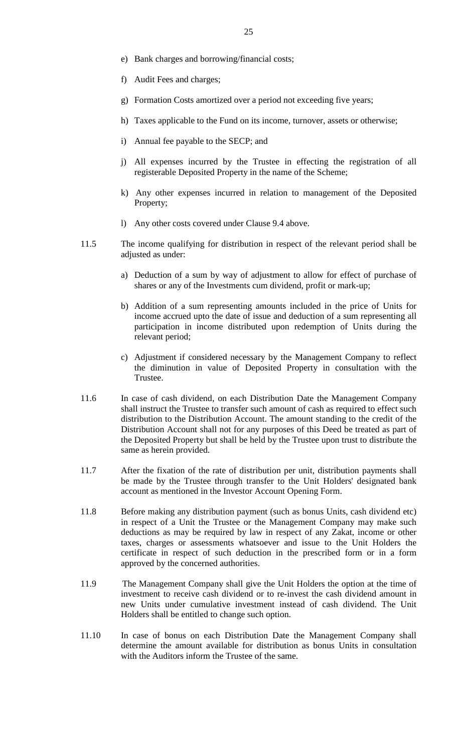- e) Bank charges and borrowing/financial costs;
- f) Audit Fees and charges;
- g) Formation Costs amortized over a period not exceeding five years;
- h) Taxes applicable to the Fund on its income, turnover, assets or otherwise;
- i) Annual fee payable to the SECP; and
- j) All expenses incurred by the Trustee in effecting the registration of all registerable Deposited Property in the name of the Scheme;
- k) Any other expenses incurred in relation to management of the Deposited Property;
- l) Any other costs covered under Clause 9.4 above.
- 11.5 The income qualifying for distribution in respect of the relevant period shall be adjusted as under:
	- a) Deduction of a sum by way of adjustment to allow for effect of purchase of shares or any of the Investments cum dividend, profit or mark-up;
	- b) Addition of a sum representing amounts included in the price of Units for income accrued upto the date of issue and deduction of a sum representing all participation in income distributed upon redemption of Units during the relevant period;
	- c) Adjustment if considered necessary by the Management Company to reflect the diminution in value of Deposited Property in consultation with the Trustee.
- 11.6 In case of cash dividend, on each Distribution Date the Management Company shall instruct the Trustee to transfer such amount of cash as required to effect such distribution to the Distribution Account. The amount standing to the credit of the Distribution Account shall not for any purposes of this Deed be treated as part of the Deposited Property but shall be held by the Trustee upon trust to distribute the same as herein provided.
- 11.7 After the fixation of the rate of distribution per unit, distribution payments shall be made by the Trustee through transfer to the Unit Holders' designated bank account as mentioned in the Investor Account Opening Form.
- 11.8 Before making any distribution payment (such as bonus Units, cash dividend etc) in respect of a Unit the Trustee or the Management Company may make such deductions as may be required by law in respect of any Zakat, income or other taxes, charges or assessments whatsoever and issue to the Unit Holders the certificate in respect of such deduction in the prescribed form or in a form approved by the concerned authorities.
- 11.9 The Management Company shall give the Unit Holders the option at the time of investment to receive cash dividend or to re-invest the cash dividend amount in new Units under cumulative investment instead of cash dividend. The Unit Holders shall be entitled to change such option.
- 11.10 In case of bonus on each Distribution Date the Management Company shall determine the amount available for distribution as bonus Units in consultation with the Auditors inform the Trustee of the same.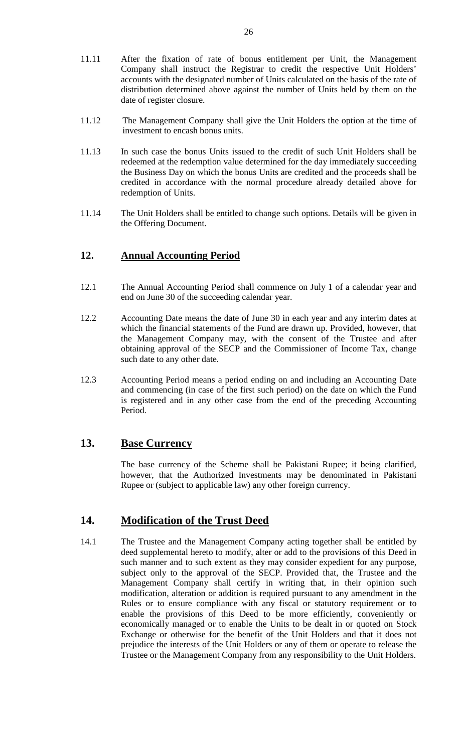- 11.11 After the fixation of rate of bonus entitlement per Unit, the Management Company shall instruct the Registrar to credit the respective Unit Holders' accounts with the designated number of Units calculated on the basis of the rate of distribution determined above against the number of Units held by them on the date of register closure.
- 11.12 The Management Company shall give the Unit Holders the option at the time of investment to encash bonus units.
- 11.13 In such case the bonus Units issued to the credit of such Unit Holders shall be redeemed at the redemption value determined for the day immediately succeeding the Business Day on which the bonus Units are credited and the proceeds shall be credited in accordance with the normal procedure already detailed above for redemption of Units.
- 11.14 The Unit Holders shall be entitled to change such options. Details will be given in the Offering Document.

## **12. Annual Accounting Period**

- 12.1 The Annual Accounting Period shall commence on July 1 of a calendar year and end on June 30 of the succeeding calendar year.
- 12.2 Accounting Date means the date of June 30 in each year and any interim dates at which the financial statements of the Fund are drawn up. Provided, however, that the Management Company may, with the consent of the Trustee and after obtaining approval of the SECP and the Commissioner of Income Tax, change such date to any other date.
- 12.3 Accounting Period means a period ending on and including an Accounting Date and commencing (in case of the first such period) on the date on which the Fund is registered and in any other case from the end of the preceding Accounting Period.

### **13. Base Currency**

The base currency of the Scheme shall be Pakistani Rupee; it being clarified, however, that the Authorized Investments may be denominated in Pakistani Rupee or (subject to applicable law) any other foreign currency.

## **14. Modification of the Trust Deed**

14.1 The Trustee and the Management Company acting together shall be entitled by deed supplemental hereto to modify, alter or add to the provisions of this Deed in such manner and to such extent as they may consider expedient for any purpose, subject only to the approval of the SECP. Provided that, the Trustee and the Management Company shall certify in writing that, in their opinion such modification, alteration or addition is required pursuant to any amendment in the Rules or to ensure compliance with any fiscal or statutory requirement or to enable the provisions of this Deed to be more efficiently, conveniently or economically managed or to enable the Units to be dealt in or quoted on Stock Exchange or otherwise for the benefit of the Unit Holders and that it does not prejudice the interests of the Unit Holders or any of them or operate to release the Trustee or the Management Company from any responsibility to the Unit Holders.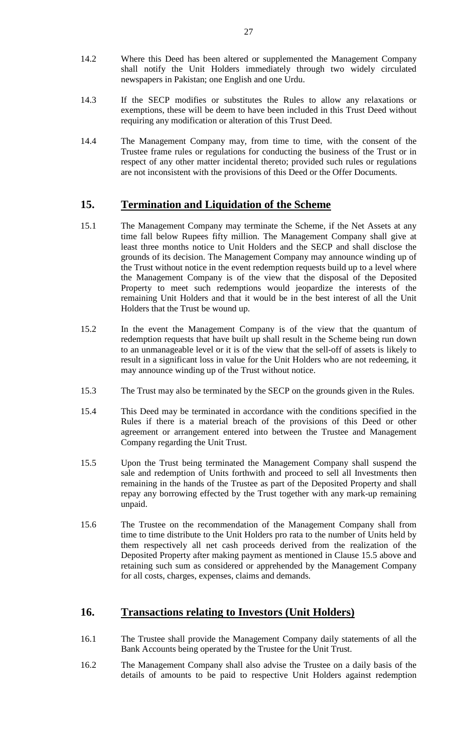- 14.2 Where this Deed has been altered or supplemented the Management Company shall notify the Unit Holders immediately through two widely circulated newspapers in Pakistan; one English and one Urdu.
- 14.3 If the SECP modifies or substitutes the Rules to allow any relaxations or exemptions, these will be deem to have been included in this Trust Deed without requiring any modification or alteration of this Trust Deed.
- 14.4 The Management Company may, from time to time, with the consent of the Trustee frame rules or regulations for conducting the business of the Trust or in respect of any other matter incidental thereto; provided such rules or regulations are not inconsistent with the provisions of this Deed or the Offer Documents.

## **15. Termination and Liquidation of the Scheme**

- 15.1 The Management Company may terminate the Scheme, if the Net Assets at any time fall below Rupees fifty million. The Management Company shall give at least three months notice to Unit Holders and the SECP and shall disclose the grounds of its decision. The Management Company may announce winding up of the Trust without notice in the event redemption requests build up to a level where the Management Company is of the view that the disposal of the Deposited Property to meet such redemptions would jeopardize the interests of the remaining Unit Holders and that it would be in the best interest of all the Unit Holders that the Trust be wound up.
- 15.2 In the event the Management Company is of the view that the quantum of redemption requests that have built up shall result in the Scheme being run down to an unmanageable level or it is of the view that the sell-off of assets is likely to result in a significant loss in value for the Unit Holders who are not redeeming, it may announce winding up of the Trust without notice.
- 15.3 The Trust may also be terminated by the SECP on the grounds given in the Rules.
- 15.4 This Deed may be terminated in accordance with the conditions specified in the Rules if there is a material breach of the provisions of this Deed or other agreement or arrangement entered into between the Trustee and Management Company regarding the Unit Trust.
- 15.5 Upon the Trust being terminated the Management Company shall suspend the sale and redemption of Units forthwith and proceed to sell all Investments then remaining in the hands of the Trustee as part of the Deposited Property and shall repay any borrowing effected by the Trust together with any mark-up remaining unpaid.
- 15.6 The Trustee on the recommendation of the Management Company shall from time to time distribute to the Unit Holders pro rata to the number of Units held by them respectively all net cash proceeds derived from the realization of the Deposited Property after making payment as mentioned in Clause 15.5 above and retaining such sum as considered or apprehended by the Management Company for all costs, charges, expenses, claims and demands.

## **16. Transactions relating to Investors (Unit Holders)**

- 16.1 The Trustee shall provide the Management Company daily statements of all the Bank Accounts being operated by the Trustee for the Unit Trust.
- 16.2 The Management Company shall also advise the Trustee on a daily basis of the details of amounts to be paid to respective Unit Holders against redemption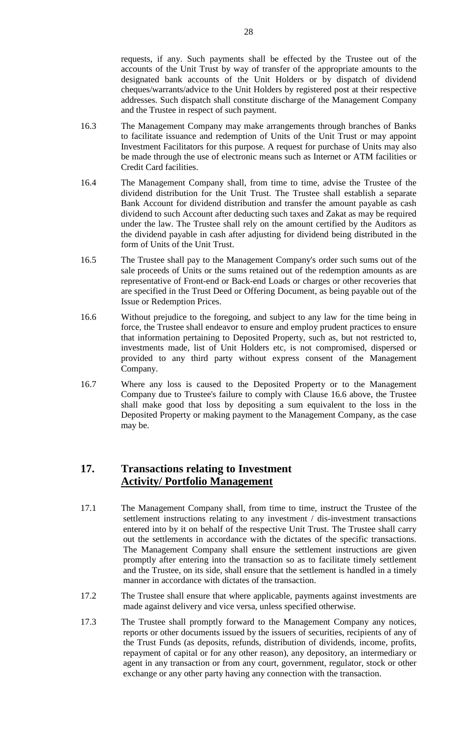requests, if any. Such payments shall be effected by the Trustee out of the accounts of the Unit Trust by way of transfer of the appropriate amounts to the designated bank accounts of the Unit Holders or by dispatch of dividend cheques/warrants/advice to the Unit Holders by registered post at their respective addresses. Such dispatch shall constitute discharge of the Management Company and the Trustee in respect of such payment.

- 16.3 The Management Company may make arrangements through branches of Banks to facilitate issuance and redemption of Units of the Unit Trust or may appoint Investment Facilitators for this purpose. A request for purchase of Units may also be made through the use of electronic means such as Internet or ATM facilities or Credit Card facilities.
- 16.4 The Management Company shall, from time to time, advise the Trustee of the dividend distribution for the Unit Trust. The Trustee shall establish a separate Bank Account for dividend distribution and transfer the amount payable as cash dividend to such Account after deducting such taxes and Zakat as may be required under the law. The Trustee shall rely on the amount certified by the Auditors as the dividend payable in cash after adjusting for dividend being distributed in the form of Units of the Unit Trust.
- 16.5 The Trustee shall pay to the Management Company's order such sums out of the sale proceeds of Units or the sums retained out of the redemption amounts as are representative of Front-end or Back-end Loads or charges or other recoveries that are specified in the Trust Deed or Offering Document, as being payable out of the Issue or Redemption Prices.
- 16.6 Without prejudice to the foregoing, and subject to any law for the time being in force, the Trustee shall endeavor to ensure and employ prudent practices to ensure that information pertaining to Deposited Property, such as, but not restricted to, investments made, list of Unit Holders etc, is not compromised, dispersed or provided to any third party without express consent of the Management Company.
- 16.7 Where any loss is caused to the Deposited Property or to the Management Company due to Trustee's failure to comply with Clause 16.6 above, the Trustee shall make good that loss by depositing a sum equivalent to the loss in the Deposited Property or making payment to the Management Company, as the case may be.

# **17. Transactions relating to Investment Activity/ Portfolio Management**

- 17.1 The Management Company shall, from time to time, instruct the Trustee of the settlement instructions relating to any investment / dis-investment transactions entered into by it on behalf of the respective Unit Trust. The Trustee shall carry out the settlements in accordance with the dictates of the specific transactions. The Management Company shall ensure the settlement instructions are given promptly after entering into the transaction so as to facilitate timely settlement and the Trustee, on its side, shall ensure that the settlement is handled in a timely manner in accordance with dictates of the transaction.
- 17.2 The Trustee shall ensure that where applicable, payments against investments are made against delivery and vice versa, unless specified otherwise.
- 17.3 The Trustee shall promptly forward to the Management Company any notices, reports or other documents issued by the issuers of securities, recipients of any of the Trust Funds (as deposits, refunds, distribution of dividends, income, profits, repayment of capital or for any other reason), any depository, an intermediary or agent in any transaction or from any court, government, regulator, stock or other exchange or any other party having any connection with the transaction.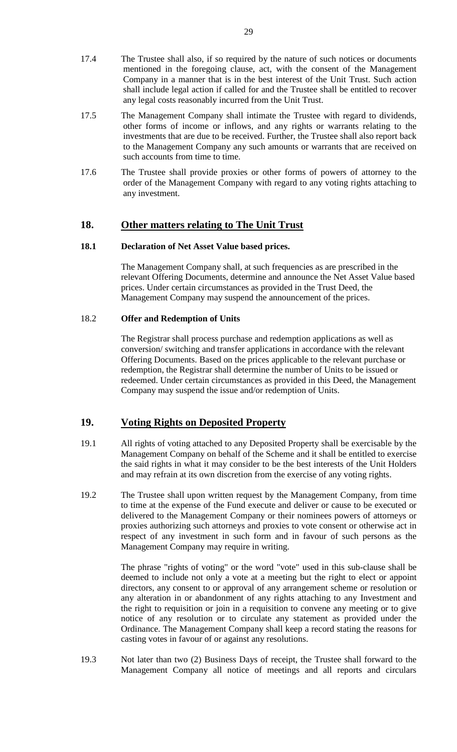- 17.4 The Trustee shall also, if so required by the nature of such notices or documents mentioned in the foregoing clause, act, with the consent of the Management Company in a manner that is in the best interest of the Unit Trust. Such action shall include legal action if called for and the Trustee shall be entitled to recover any legal costs reasonably incurred from the Unit Trust.
- 17.5 The Management Company shall intimate the Trustee with regard to dividends, other forms of income or inflows, and any rights or warrants relating to the investments that are due to be received. Further, the Trustee shall also report back to the Management Company any such amounts or warrants that are received on such accounts from time to time.
- 17.6 The Trustee shall provide proxies or other forms of powers of attorney to the order of the Management Company with regard to any voting rights attaching to any investment.

### **18. Other matters relating to The Unit Trust**

## **18.1 Declaration of Net Asset Value based prices.**

The Management Company shall, at such frequencies as are prescribed in the relevant Offering Documents, determine and announce the Net Asset Value based prices. Under certain circumstances as provided in the Trust Deed, the Management Company may suspend the announcement of the prices.

#### 18.2 **Offer and Redemption of Units**

The Registrar shall process purchase and redemption applications as well as conversion/ switching and transfer applications in accordance with the relevant Offering Documents. Based on the prices applicable to the relevant purchase or redemption, the Registrar shall determine the number of Units to be issued or redeemed. Under certain circumstances as provided in this Deed, the Management Company may suspend the issue and/or redemption of Units.

#### **19. Voting Rights on Deposited Property**

- 19.1 All rights of voting attached to any Deposited Property shall be exercisable by the Management Company on behalf of the Scheme and it shall be entitled to exercise the said rights in what it may consider to be the best interests of the Unit Holders and may refrain at its own discretion from the exercise of any voting rights.
- 19.2 The Trustee shall upon written request by the Management Company, from time to time at the expense of the Fund execute and deliver or cause to be executed or delivered to the Management Company or their nominees powers of attorneys or proxies authorizing such attorneys and proxies to vote consent or otherwise act in respect of any investment in such form and in favour of such persons as the Management Company may require in writing.

The phrase "rights of voting" or the word "vote" used in this sub-clause shall be deemed to include not only a vote at a meeting but the right to elect or appoint directors, any consent to or approval of any arrangement scheme or resolution or any alteration in or abandonment of any rights attaching to any Investment and the right to requisition or join in a requisition to convene any meeting or to give notice of any resolution or to circulate any statement as provided under the Ordinance. The Management Company shall keep a record stating the reasons for casting votes in favour of or against any resolutions.

19.3 Not later than two (2) Business Days of receipt, the Trustee shall forward to the Management Company all notice of meetings and all reports and circulars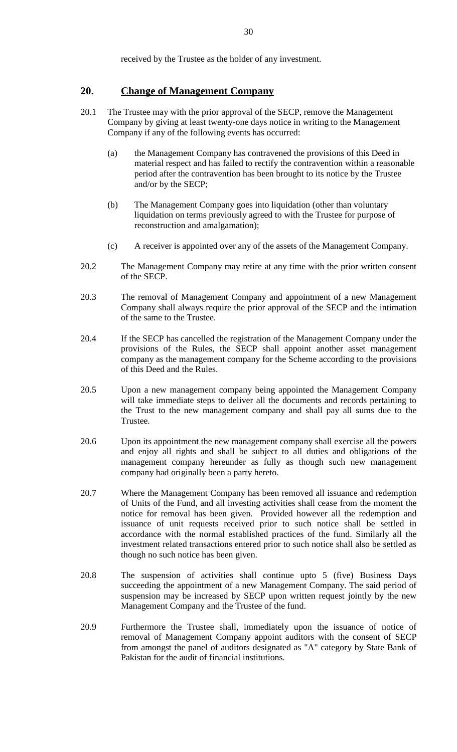received by the Trustee as the holder of any investment.

### **20. Change of Management Company**

- 20.1 The Trustee may with the prior approval of the SECP, remove the Management Company by giving at least twenty-one days notice in writing to the Management Company if any of the following events has occurred:
	- (a) the Management Company has contravened the provisions of this Deed in material respect and has failed to rectify the contravention within a reasonable period after the contravention has been brought to its notice by the Trustee and/or by the SECP;
	- (b) The Management Company goes into liquidation (other than voluntary liquidation on terms previously agreed to with the Trustee for purpose of reconstruction and amalgamation);
	- (c) A receiver is appointed over any of the assets of the Management Company.
- 20.2 The Management Company may retire at any time with the prior written consent of the SECP.
- 20.3 The removal of Management Company and appointment of a new Management Company shall always require the prior approval of the SECP and the intimation of the same to the Trustee.
- 20.4 If the SECP has cancelled the registration of the Management Company under the provisions of the Rules, the SECP shall appoint another asset management company as the management company for the Scheme according to the provisions of this Deed and the Rules.
- 20.5 Upon a new management company being appointed the Management Company will take immediate steps to deliver all the documents and records pertaining to the Trust to the new management company and shall pay all sums due to the Trustee.
- 20.6 Upon its appointment the new management company shall exercise all the powers and enjoy all rights and shall be subject to all duties and obligations of the management company hereunder as fully as though such new management company had originally been a party hereto.
- 20.7 Where the Management Company has been removed all issuance and redemption of Units of the Fund, and all investing activities shall cease from the moment the notice for removal has been given. Provided however all the redemption and issuance of unit requests received prior to such notice shall be settled in accordance with the normal established practices of the fund. Similarly all the investment related transactions entered prior to such notice shall also be settled as though no such notice has been given.
- 20.8 The suspension of activities shall continue upto 5 (five) Business Days succeeding the appointment of a new Management Company. The said period of suspension may be increased by SECP upon written request jointly by the new Management Company and the Trustee of the fund.
- 20.9 Furthermore the Trustee shall, immediately upon the issuance of notice of removal of Management Company appoint auditors with the consent of SECP from amongst the panel of auditors designated as "A" category by State Bank of Pakistan for the audit of financial institutions.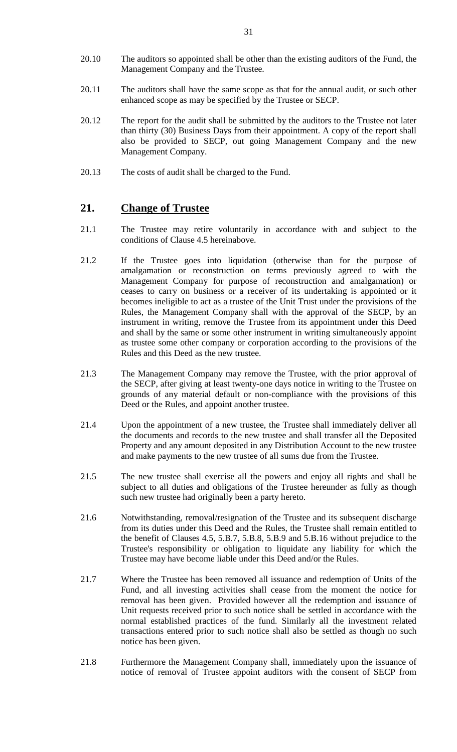- 20.10 The auditors so appointed shall be other than the existing auditors of the Fund, the Management Company and the Trustee.
- 20.11 The auditors shall have the same scope as that for the annual audit, or such other enhanced scope as may be specified by the Trustee or SECP.
- 20.12 The report for the audit shall be submitted by the auditors to the Trustee not later than thirty (30) Business Days from their appointment. A copy of the report shall also be provided to SECP, out going Management Company and the new Management Company.
- 20.13 The costs of audit shall be charged to the Fund.

### **21. Change of Trustee**

- 21.1 The Trustee may retire voluntarily in accordance with and subject to the conditions of Clause 4.5 hereinabove.
- 21.2 If the Trustee goes into liquidation (otherwise than for the purpose of amalgamation or reconstruction on terms previously agreed to with the Management Company for purpose of reconstruction and amalgamation) or ceases to carry on business or a receiver of its undertaking is appointed or it becomes ineligible to act as a trustee of the Unit Trust under the provisions of the Rules, the Management Company shall with the approval of the SECP, by an instrument in writing, remove the Trustee from its appointment under this Deed and shall by the same or some other instrument in writing simultaneously appoint as trustee some other company or corporation according to the provisions of the Rules and this Deed as the new trustee.
- 21.3 The Management Company may remove the Trustee, with the prior approval of the SECP, after giving at least twenty-one days notice in writing to the Trustee on grounds of any material default or non-compliance with the provisions of this Deed or the Rules, and appoint another trustee.
- 21.4 Upon the appointment of a new trustee, the Trustee shall immediately deliver all the documents and records to the new trustee and shall transfer all the Deposited Property and any amount deposited in any Distribution Account to the new trustee and make payments to the new trustee of all sums due from the Trustee.
- 21.5 The new trustee shall exercise all the powers and enjoy all rights and shall be subject to all duties and obligations of the Trustee hereunder as fully as though such new trustee had originally been a party hereto.
- 21.6 Notwithstanding, removal/resignation of the Trustee and its subsequent discharge from its duties under this Deed and the Rules, the Trustee shall remain entitled to the benefit of Clauses 4.5, 5.B.7, 5.B.8, 5.B.9 and 5.B.16 without prejudice to the Trustee's responsibility or obligation to liquidate any liability for which the Trustee may have become liable under this Deed and/or the Rules.
- 21.7 Where the Trustee has been removed all issuance and redemption of Units of the Fund, and all investing activities shall cease from the moment the notice for removal has been given. Provided however all the redemption and issuance of Unit requests received prior to such notice shall be settled in accordance with the normal established practices of the fund. Similarly all the investment related transactions entered prior to such notice shall also be settled as though no such notice has been given.
- 21.8 Furthermore the Management Company shall, immediately upon the issuance of notice of removal of Trustee appoint auditors with the consent of SECP from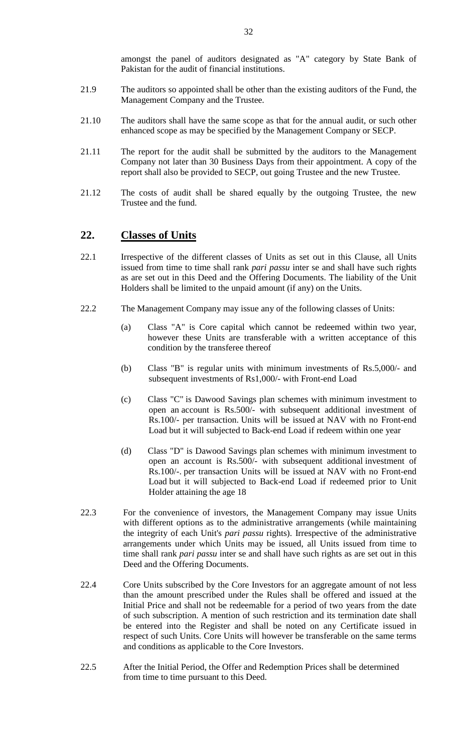amongst the panel of auditors designated as "A" category by State Bank of Pakistan for the audit of financial institutions.

- 21.9 The auditors so appointed shall be other than the existing auditors of the Fund, the Management Company and the Trustee.
- 21.10 The auditors shall have the same scope as that for the annual audit, or such other enhanced scope as may be specified by the Management Company or SECP.
- 21.11 The report for the audit shall be submitted by the auditors to the Management Company not later than 30 Business Days from their appointment. A copy of the report shall also be provided to SECP, out going Trustee and the new Trustee.
- 21.12 The costs of audit shall be shared equally by the outgoing Trustee, the new Trustee and the fund.

## **22. Classes of Units**

- 22.1 Irrespective of the different classes of Units as set out in this Clause, all Units issued from time to time shall rank *pari passu* inter se and shall have such rights as are set out in this Deed and the Offering Documents. The liability of the Unit Holders shall be limited to the unpaid amount (if any) on the Units.
- 22.2 The Management Company may issue any of the following classes of Units:
	- (a) Class "A" is Core capital which cannot be redeemed within two year, however these Units are transferable with a written acceptance of this condition by the transferee thereof
	- (b) Class "B" is regular units with minimum investments of Rs.5,000/- and subsequent investments of Rs1,000/- with Front-end Load
	- (c) Class "C" is Dawood Savings plan schemes with minimum investment to open an account is Rs.500/- with subsequent additional investment of Rs.100/- per transaction. Units will be issued at NAV with no Front-end Load but it will subjected to Back-end Load if redeem within one year
	- (d) Class "D" is Dawood Savings plan schemes with minimum investment to open an account is Rs.500/- with subsequent additional investment of Rs.100/-. per transaction Units will be issued at NAV with no Front-end Load but it will subjected to Back-end Load if redeemed prior to Unit Holder attaining the age 18
- 22.3 For the convenience of investors, the Management Company may issue Units with different options as to the administrative arrangements (while maintaining the integrity of each Unit's *pari passu* rights). Irrespective of the administrative arrangements under which Units may be issued, all Units issued from time to time shall rank *pari passu* inter se and shall have such rights as are set out in this Deed and the Offering Documents.
- 22.4 Core Units subscribed by the Core Investors for an aggregate amount of not less than the amount prescribed under the Rules shall be offered and issued at the Initial Price and shall not be redeemable for a period of two years from the date of such subscription. A mention of such restriction and its termination date shall be entered into the Register and shall be noted on any Certificate issued in respect of such Units. Core Units will however be transferable on the same terms and conditions as applicable to the Core Investors.
- 22.5 After the Initial Period, the Offer and Redemption Prices shall be determined from time to time pursuant to this Deed.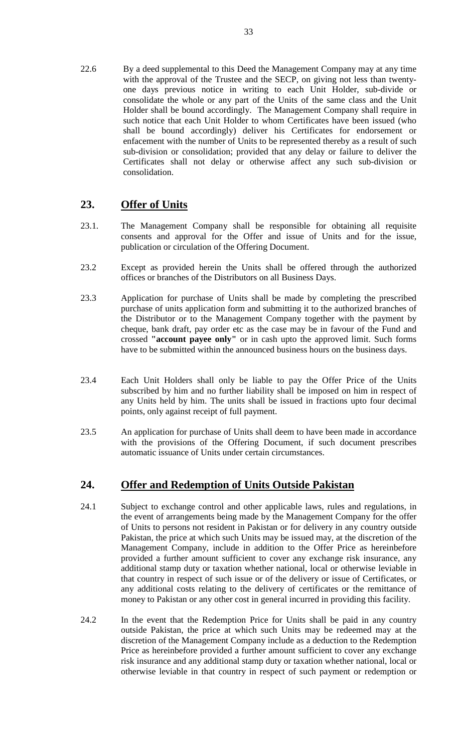22.6 By a deed supplemental to this Deed the Management Company may at any time with the approval of the Trustee and the SECP, on giving not less than twentyone days previous notice in writing to each Unit Holder, sub-divide or consolidate the whole or any part of the Units of the same class and the Unit Holder shall be bound accordingly. The Management Company shall require in such notice that each Unit Holder to whom Certificates have been issued (who shall be bound accordingly) deliver his Certificates for endorsement or enfacement with the number of Units to be represented thereby as a result of such sub-division or consolidation; provided that any delay or failure to deliver the Certificates shall not delay or otherwise affect any such sub-division or consolidation.

# **23. Offer of Units**

- 23.1. The Management Company shall be responsible for obtaining all requisite consents and approval for the Offer and issue of Units and for the issue, publication or circulation of the Offering Document.
- 23.2 Except as provided herein the Units shall be offered through the authorized offices or branches of the Distributors on all Business Days.
- 23.3 Application for purchase of Units shall be made by completing the prescribed purchase of units application form and submitting it to the authorized branches of the Distributor or to the Management Company together with the payment by cheque, bank draft, pay order etc as the case may be in favour of the Fund and crossed **"account payee only"** or in cash upto the approved limit. Such forms have to be submitted within the announced business hours on the business days.
- 23.4 Each Unit Holders shall only be liable to pay the Offer Price of the Units subscribed by him and no further liability shall be imposed on him in respect of any Units held by him. The units shall be issued in fractions upto four decimal points, only against receipt of full payment.
- 23.5 An application for purchase of Units shall deem to have been made in accordance with the provisions of the Offering Document, if such document prescribes automatic issuance of Units under certain circumstances.

# **24. Offer and Redemption of Units Outside Pakistan**

- 24.1 Subject to exchange control and other applicable laws, rules and regulations, in the event of arrangements being made by the Management Company for the offer of Units to persons not resident in Pakistan or for delivery in any country outside Pakistan, the price at which such Units may be issued may, at the discretion of the Management Company, include in addition to the Offer Price as hereinbefore provided a further amount sufficient to cover any exchange risk insurance, any additional stamp duty or taxation whether national, local or otherwise leviable in that country in respect of such issue or of the delivery or issue of Certificates, or any additional costs relating to the delivery of certificates or the remittance of money to Pakistan or any other cost in general incurred in providing this facility.
- 24.2 In the event that the Redemption Price for Units shall be paid in any country outside Pakistan, the price at which such Units may be redeemed may at the discretion of the Management Company include as a deduction to the Redemption Price as hereinbefore provided a further amount sufficient to cover any exchange risk insurance and any additional stamp duty or taxation whether national, local or otherwise leviable in that country in respect of such payment or redemption or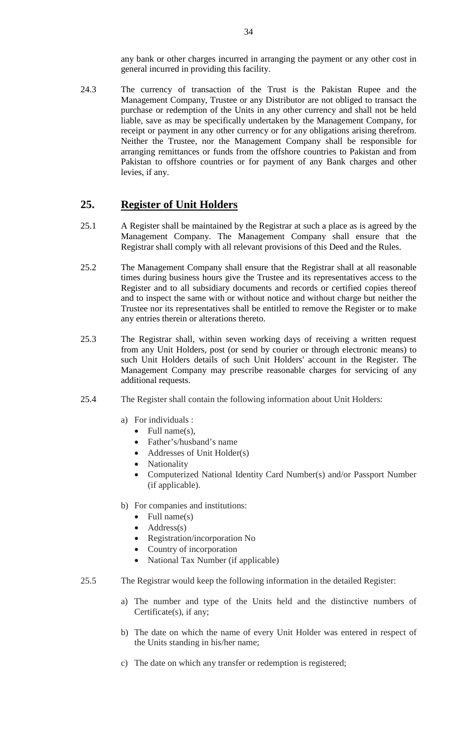any bank or other charges incurred in arranging the payment or any other cost in general incurred in providing this facility.

24.3 The currency of transaction of the Trust is the Pakistan Rupee and the Management Company, Trustee or any Distributor are not obliged to transact the purchase or redemption of the Units in any other currency and shall not be held liable, save as may be specifically undertaken by the Management Company, for receipt or payment in any other currency or for any obligations arising therefrom. Neither the Trustee, nor the Management Company shall be responsible for arranging remittances or funds from the offshore countries to Pakistan and from Pakistan to offshore countries or for payment of any Bank charges and other levies, if any.

## **25. Register of Unit Holders**

- 25.1 A Register shall be maintained by the Registrar at such a place as is agreed by the Management Company. The Management Company shall ensure that the Registrar shall comply with all relevant provisions of this Deed and the Rules.
- 25.2 The Management Company shall ensure that the Registrar shall at all reasonable times during business hours give the Trustee and its representatives access to the Register and to all subsidiary documents and records or certified copies thereof and to inspect the same with or without notice and without charge but neither the Trustee nor its representatives shall be entitled to remove the Register or to make any entries therein or alterations thereto.
- 25.3 The Registrar shall, within seven working days of receiving a written request from any Unit Holders, post (or send by courier or through electronic means) to such Unit Holders details of such Unit Holders' account in the Register. The Management Company may prescribe reasonable charges for servicing of any additional requests.
- 25.4 The Register shall contain the following information about Unit Holders:
	- a) For individuals :
		- Full name(s),
		- Father's/husband's name
		- Addresses of Unit Holder(s)
		- **Nationality**
		- Computerized National Identity Card Number(s) and/or Passport Number (if applicable).
	- b) For companies and institutions:
		- Full name $(s)$
		- $Address(s)$
		- Registration/incorporation No
		- Country of incorporation
		- National Tax Number (if applicable)
- 25.5 The Registrar would keep the following information in the detailed Register:
	- a) The number and type of the Units held and the distinctive numbers of Certificate(s), if any;
	- b) The date on which the name of every Unit Holder was entered in respect of the Units standing in his/her name;
	- c) The date on which any transfer or redemption is registered;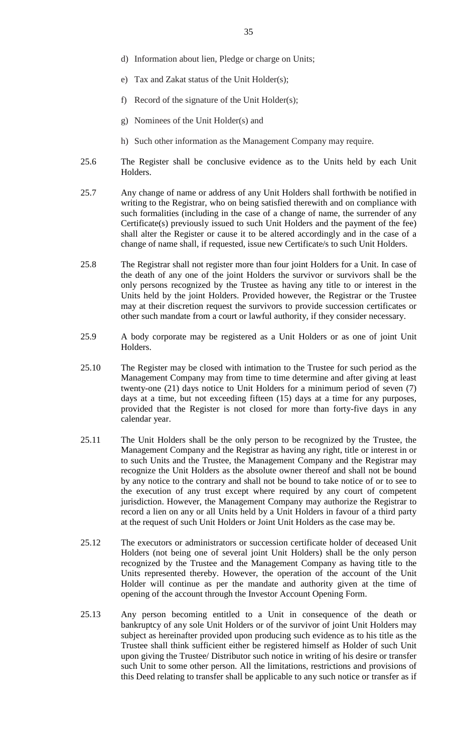- d) Information about lien, Pledge or charge on Units;
- e) Tax and Zakat status of the Unit Holder(s);
- f) Record of the signature of the Unit Holder(s);
- g) Nominees of the Unit Holder(s) and
- h) Such other information as the Management Company may require.
- 25.6 The Register shall be conclusive evidence as to the Units held by each Unit Holders.
- 25.7 Any change of name or address of any Unit Holders shall forthwith be notified in writing to the Registrar, who on being satisfied therewith and on compliance with such formalities (including in the case of a change of name, the surrender of any Certificate(s) previously issued to such Unit Holders and the payment of the fee) shall alter the Register or cause it to be altered accordingly and in the case of a change of name shall, if requested, issue new Certificate/s to such Unit Holders.
- 25.8 The Registrar shall not register more than four joint Holders for a Unit. In case of the death of any one of the joint Holders the survivor or survivors shall be the only persons recognized by the Trustee as having any title to or interest in the Units held by the joint Holders. Provided however, the Registrar or the Trustee may at their discretion request the survivors to provide succession certificates or other such mandate from a court or lawful authority, if they consider necessary.
- 25.9 A body corporate may be registered as a Unit Holders or as one of joint Unit Holders.
- 25.10 The Register may be closed with intimation to the Trustee for such period as the Management Company may from time to time determine and after giving at least twenty-one (21) days notice to Unit Holders for a minimum period of seven (7) days at a time, but not exceeding fifteen (15) days at a time for any purposes, provided that the Register is not closed for more than forty-five days in any calendar year.
- 25.11 The Unit Holders shall be the only person to be recognized by the Trustee, the Management Company and the Registrar as having any right, title or interest in or to such Units and the Trustee, the Management Company and the Registrar may recognize the Unit Holders as the absolute owner thereof and shall not be bound by any notice to the contrary and shall not be bound to take notice of or to see to the execution of any trust except where required by any court of competent jurisdiction. However, the Management Company may authorize the Registrar to record a lien on any or all Units held by a Unit Holders in favour of a third party at the request of such Unit Holders or Joint Unit Holders as the case may be.
- 25.12 The executors or administrators or succession certificate holder of deceased Unit Holders (not being one of several joint Unit Holders) shall be the only person recognized by the Trustee and the Management Company as having title to the Units represented thereby. However, the operation of the account of the Unit Holder will continue as per the mandate and authority given at the time of opening of the account through the Investor Account Opening Form.
- 25.13 Any person becoming entitled to a Unit in consequence of the death or bankruptcy of any sole Unit Holders or of the survivor of joint Unit Holders may subject as hereinafter provided upon producing such evidence as to his title as the Trustee shall think sufficient either be registered himself as Holder of such Unit upon giving the Trustee/ Distributor such notice in writing of his desire or transfer such Unit to some other person. All the limitations, restrictions and provisions of this Deed relating to transfer shall be applicable to any such notice or transfer as if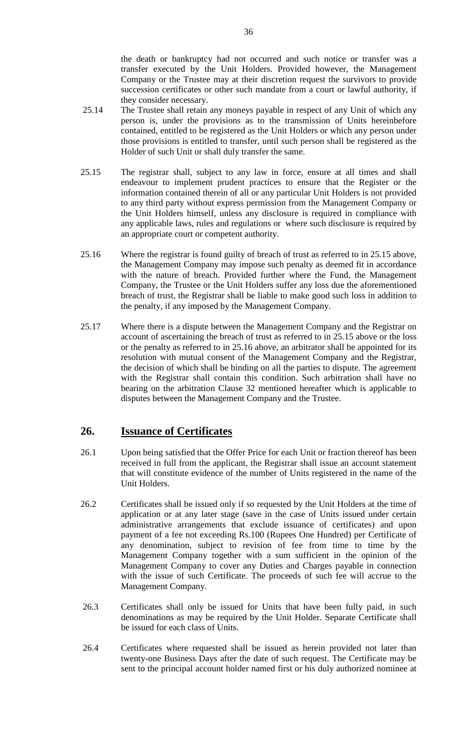the death or bankruptcy had not occurred and such notice or transfer was a transfer executed by the Unit Holders. Provided however, the Management Company or the Trustee may at their discretion request the survivors to provide succession certificates or other such mandate from a court or lawful authority, if they consider necessary.

- 25.14 The Trustee shall retain any moneys payable in respect of any Unit of which any person is, under the provisions as to the transmission of Units hereinbefore contained, entitled to be registered as the Unit Holders or which any person under those provisions is entitled to transfer, until such person shall be registered as the Holder of such Unit or shall duly transfer the same.
- 25.15 The registrar shall, subject to any law in force, ensure at all times and shall endeavour to implement prudent practices to ensure that the Register or the information contained therein of all or any particular Unit Holders is not provided to any third party without express permission from the Management Company or the Unit Holders himself, unless any disclosure is required in compliance with any applicable laws, rules and regulations or where such disclosure is required by an appropriate court or competent authority.
- 25.16 Where the registrar is found guilty of breach of trust as referred to in 25.15 above, the Management Company may impose such penalty as deemed fit in accordance with the nature of breach. Provided further where the Fund, the Management Company, the Trustee or the Unit Holders suffer any loss due the aforementioned breach of trust, the Registrar shall be liable to make good such loss in addition to the penalty, if any imposed by the Management Company.
- 25.17 Where there is a dispute between the Management Company and the Registrar on account of ascertaining the breach of trust as referred to in 25.15 above or the loss or the penalty as referred to in 25.16 above, an arbitrator shall be appointed for its resolution with mutual consent of the Management Company and the Registrar, the decision of which shall be binding on all the parties to dispute. The agreement with the Registrar shall contain this condition. Such arbitration shall have no bearing on the arbitration Clause 32 mentioned hereafter which is applicable to disputes between the Management Company and the Trustee.

## **26. Issuance of Certificates**

- 26.1 Upon being satisfied that the Offer Price for each Unit or fraction thereof has been received in full from the applicant, the Registrar shall issue an account statement that will constitute evidence of the number of Units registered in the name of the Unit Holders.
- 26.2 Certificates shall be issued only if so requested by the Unit Holders at the time of application or at any later stage (save in the case of Units issued under certain administrative arrangements that exclude issuance of certificates) and upon payment of a fee not exceeding Rs.100 (Rupees One Hundred) per Certificate of any denomination, subject to revision of fee from time to time by the Management Company together with a sum sufficient in the opinion of the Management Company to cover any Duties and Charges payable in connection with the issue of such Certificate. The proceeds of such fee will accrue to the Management Company.
- 26.3 Certificates shall only be issued for Units that have been fully paid, in such denominations as may be required by the Unit Holder. Separate Certificate shall be issued for each class of Units.
- 26.4 Certificates where requested shall be issued as herein provided not later than twenty-one Business Days after the date of such request. The Certificate may be sent to the principal account holder named first or his duly authorized nominee at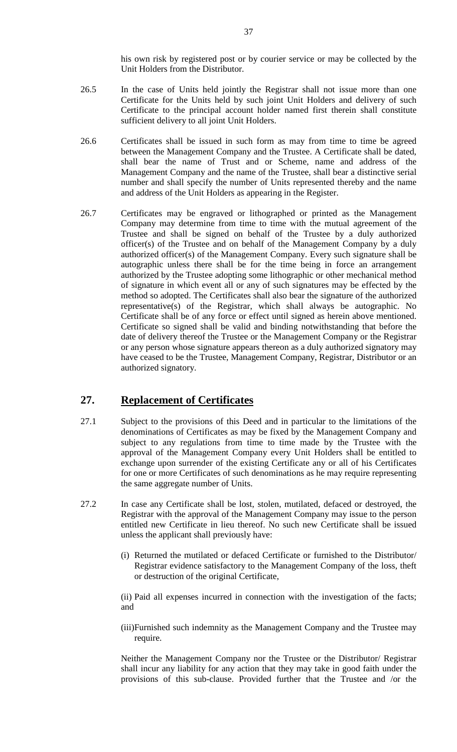his own risk by registered post or by courier service or may be collected by the Unit Holders from the Distributor.

- 26.5 In the case of Units held jointly the Registrar shall not issue more than one Certificate for the Units held by such joint Unit Holders and delivery of such Certificate to the principal account holder named first therein shall constitute sufficient delivery to all joint Unit Holders.
- 26.6 Certificates shall be issued in such form as may from time to time be agreed between the Management Company and the Trustee. A Certificate shall be dated, shall bear the name of Trust and or Scheme, name and address of the Management Company and the name of the Trustee, shall bear a distinctive serial number and shall specify the number of Units represented thereby and the name and address of the Unit Holders as appearing in the Register.
- 26.7 Certificates may be engraved or lithographed or printed as the Management Company may determine from time to time with the mutual agreement of the Trustee and shall be signed on behalf of the Trustee by a duly authorized officer(s) of the Trustee and on behalf of the Management Company by a duly authorized officer(s) of the Management Company. Every such signature shall be autographic unless there shall be for the time being in force an arrangement authorized by the Trustee adopting some lithographic or other mechanical method of signature in which event all or any of such signatures may be effected by the method so adopted. The Certificates shall also bear the signature of the authorized representative(s) of the Registrar, which shall always be autographic. No Certificate shall be of any force or effect until signed as herein above mentioned. Certificate so signed shall be valid and binding notwithstanding that before the date of delivery thereof the Trustee or the Management Company or the Registrar or any person whose signature appears thereon as a duly authorized signatory may have ceased to be the Trustee, Management Company, Registrar, Distributor or an authorized signatory.

# **27. Replacement of Certificates**

- 27.1 Subject to the provisions of this Deed and in particular to the limitations of the denominations of Certificates as may be fixed by the Management Company and subject to any regulations from time to time made by the Trustee with the approval of the Management Company every Unit Holders shall be entitled to exchange upon surrender of the existing Certificate any or all of his Certificates for one or more Certificates of such denominations as he may require representing the same aggregate number of Units.
- 27.2 In case any Certificate shall be lost, stolen, mutilated, defaced or destroyed, the Registrar with the approval of the Management Company may issue to the person entitled new Certificate in lieu thereof. No such new Certificate shall be issued unless the applicant shall previously have:
	- (i) Returned the mutilated or defaced Certificate or furnished to the Distributor/ Registrar evidence satisfactory to the Management Company of the loss, theft or destruction of the original Certificate,

(ii) Paid all expenses incurred in connection with the investigation of the facts; and

(iii)Furnished such indemnity as the Management Company and the Trustee may require.

Neither the Management Company nor the Trustee or the Distributor/ Registrar shall incur any liability for any action that they may take in good faith under the provisions of this sub-clause. Provided further that the Trustee and /or the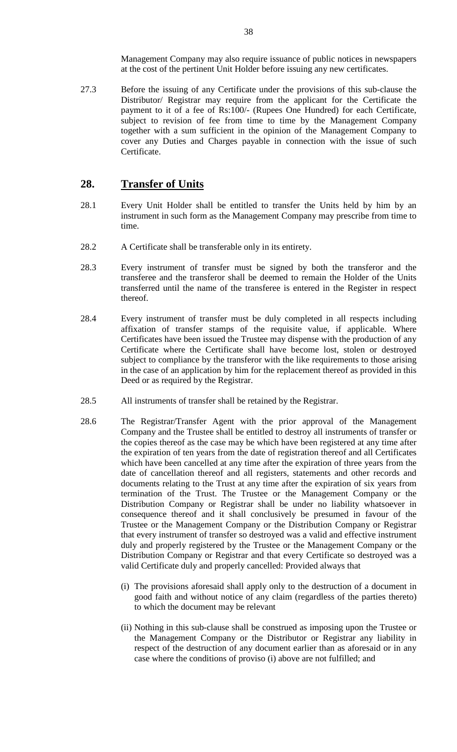Management Company may also require issuance of public notices in newspapers at the cost of the pertinent Unit Holder before issuing any new certificates.

27.3 Before the issuing of any Certificate under the provisions of this sub-clause the Distributor/ Registrar may require from the applicant for the Certificate the payment to it of a fee of Rs:100/- (Rupees One Hundred) for each Certificate, subject to revision of fee from time to time by the Management Company together with a sum sufficient in the opinion of the Management Company to cover any Duties and Charges payable in connection with the issue of such Certificate.

## **28. Transfer of Units**

- 28.1 Every Unit Holder shall be entitled to transfer the Units held by him by an instrument in such form as the Management Company may prescribe from time to time.
- 28.2 A Certificate shall be transferable only in its entirety.
- 28.3 Every instrument of transfer must be signed by both the transferor and the transferee and the transferor shall be deemed to remain the Holder of the Units transferred until the name of the transferee is entered in the Register in respect thereof.
- 28.4 Every instrument of transfer must be duly completed in all respects including affixation of transfer stamps of the requisite value, if applicable. Where Certificates have been issued the Trustee may dispense with the production of any Certificate where the Certificate shall have become lost, stolen or destroyed subject to compliance by the transferor with the like requirements to those arising in the case of an application by him for the replacement thereof as provided in this Deed or as required by the Registrar.
- 28.5 All instruments of transfer shall be retained by the Registrar.
- 28.6 The Registrar/Transfer Agent with the prior approval of the Management Company and the Trustee shall be entitled to destroy all instruments of transfer or the copies thereof as the case may be which have been registered at any time after the expiration of ten years from the date of registration thereof and all Certificates which have been cancelled at any time after the expiration of three years from the date of cancellation thereof and all registers, statements and other records and documents relating to the Trust at any time after the expiration of six years from termination of the Trust. The Trustee or the Management Company or the Distribution Company or Registrar shall be under no liability whatsoever in consequence thereof and it shall conclusively be presumed in favour of the Trustee or the Management Company or the Distribution Company or Registrar that every instrument of transfer so destroyed was a valid and effective instrument duly and properly registered by the Trustee or the Management Company or the Distribution Company or Registrar and that every Certificate so destroyed was a valid Certificate duly and properly cancelled: Provided always that
	- (i) The provisions aforesaid shall apply only to the destruction of a document in good faith and without notice of any claim (regardless of the parties thereto) to which the document may be relevant
	- (ii) Nothing in this sub-clause shall be construed as imposing upon the Trustee or the Management Company or the Distributor or Registrar any liability in respect of the destruction of any document earlier than as aforesaid or in any case where the conditions of proviso (i) above are not fulfilled; and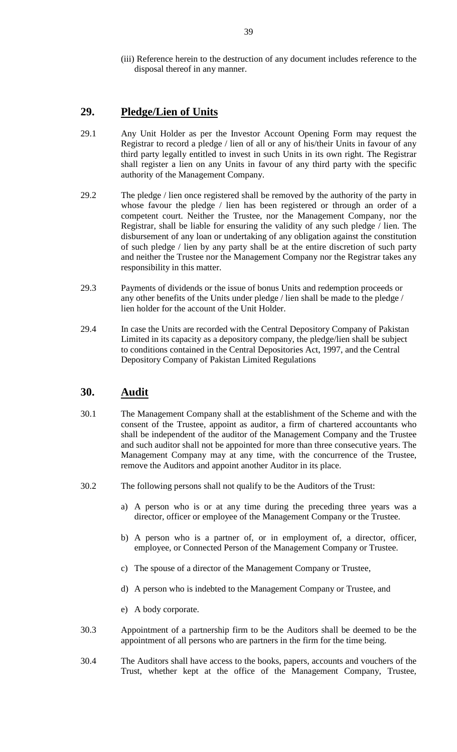(iii) Reference herein to the destruction of any document includes reference to the disposal thereof in any manner.

## **29. Pledge/Lien of Units**

- 29.1 Any Unit Holder as per the Investor Account Opening Form may request the Registrar to record a pledge / lien of all or any of his/their Units in favour of any third party legally entitled to invest in such Units in its own right. The Registrar shall register a lien on any Units in favour of any third party with the specific authority of the Management Company.
- 29.2 The pledge / lien once registered shall be removed by the authority of the party in whose favour the pledge / lien has been registered or through an order of a competent court. Neither the Trustee, nor the Management Company, nor the Registrar, shall be liable for ensuring the validity of any such pledge / lien. The disbursement of any loan or undertaking of any obligation against the constitution of such pledge / lien by any party shall be at the entire discretion of such party and neither the Trustee nor the Management Company nor the Registrar takes any responsibility in this matter.
- 29.3 Payments of dividends or the issue of bonus Units and redemption proceeds or any other benefits of the Units under pledge / lien shall be made to the pledge / lien holder for the account of the Unit Holder.
- 29.4 In case the Units are recorded with the Central Depository Company of Pakistan Limited in its capacity as a depository company, the pledge/lien shall be subject to conditions contained in the Central Depositories Act, 1997, and the Central Depository Company of Pakistan Limited Regulations

# **30. Audit**

- 30.1 The Management Company shall at the establishment of the Scheme and with the consent of the Trustee, appoint as auditor, a firm of chartered accountants who shall be independent of the auditor of the Management Company and the Trustee and such auditor shall not be appointed for more than three consecutive years. The Management Company may at any time, with the concurrence of the Trustee, remove the Auditors and appoint another Auditor in its place.
- 30.2 The following persons shall not qualify to be the Auditors of the Trust:
	- a) A person who is or at any time during the preceding three years was a director, officer or employee of the Management Company or the Trustee.
	- b) A person who is a partner of, or in employment of, a director, officer, employee, or Connected Person of the Management Company or Trustee.
	- c) The spouse of a director of the Management Company or Trustee,
	- d) A person who is indebted to the Management Company or Trustee, and
	- e) A body corporate.
- 30.3 Appointment of a partnership firm to be the Auditors shall be deemed to be the appointment of all persons who are partners in the firm for the time being.
- 30.4 The Auditors shall have access to the books, papers, accounts and vouchers of the Trust, whether kept at the office of the Management Company, Trustee,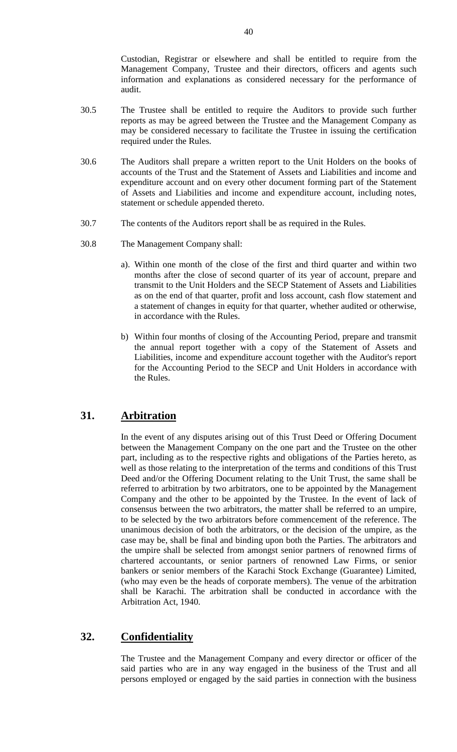Custodian, Registrar or elsewhere and shall be entitled to require from the Management Company, Trustee and their directors, officers and agents such information and explanations as considered necessary for the performance of audit.

- 30.5 The Trustee shall be entitled to require the Auditors to provide such further reports as may be agreed between the Trustee and the Management Company as may be considered necessary to facilitate the Trustee in issuing the certification required under the Rules.
- 30.6 The Auditors shall prepare a written report to the Unit Holders on the books of accounts of the Trust and the Statement of Assets and Liabilities and income and expenditure account and on every other document forming part of the Statement of Assets and Liabilities and income and expenditure account, including notes, statement or schedule appended thereto.
- 30.7 The contents of the Auditors report shall be as required in the Rules.
- 30.8 The Management Company shall:
	- a). Within one month of the close of the first and third quarter and within two months after the close of second quarter of its year of account, prepare and transmit to the Unit Holders and the SECP Statement of Assets and Liabilities as on the end of that quarter, profit and loss account, cash flow statement and a statement of changes in equity for that quarter, whether audited or otherwise, in accordance with the Rules.
	- b) Within four months of closing of the Accounting Period, prepare and transmit the annual report together with a copy of the Statement of Assets and Liabilities, income and expenditure account together with the Auditor's report for the Accounting Period to the SECP and Unit Holders in accordance with the Rules.

## **31. Arbitration**

In the event of any disputes arising out of this Trust Deed or Offering Document between the Management Company on the one part and the Trustee on the other part, including as to the respective rights and obligations of the Parties hereto, as well as those relating to the interpretation of the terms and conditions of this Trust Deed and/or the Offering Document relating to the Unit Trust, the same shall be referred to arbitration by two arbitrators, one to be appointed by the Management Company and the other to be appointed by the Trustee. In the event of lack of consensus between the two arbitrators, the matter shall be referred to an umpire, to be selected by the two arbitrators before commencement of the reference. The unanimous decision of both the arbitrators, or the decision of the umpire, as the case may be, shall be final and binding upon both the Parties. The arbitrators and the umpire shall be selected from amongst senior partners of renowned firms of chartered accountants, or senior partners of renowned Law Firms, or senior bankers or senior members of the Karachi Stock Exchange (Guarantee) Limited, (who may even be the heads of corporate members). The venue of the arbitration shall be Karachi. The arbitration shall be conducted in accordance with the Arbitration Act, 1940.

## **32. Confidentiality**

The Trustee and the Management Company and every director or officer of the said parties who are in any way engaged in the business of the Trust and all persons employed or engaged by the said parties in connection with the business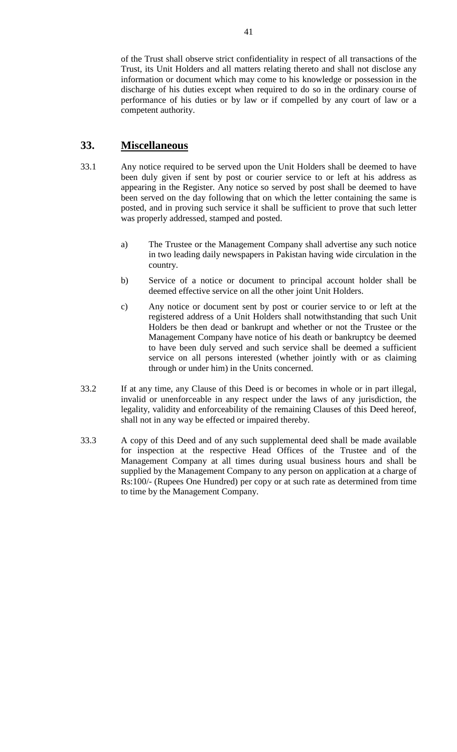of the Trust shall observe strict confidentiality in respect of all transactions of the Trust, its Unit Holders and all matters relating thereto and shall not disclose any information or document which may come to his knowledge or possession in the discharge of his duties except when required to do so in the ordinary course of performance of his duties or by law or if compelled by any court of law or a competent authority.

# **33. Miscellaneous**

- 33.1 Any notice required to be served upon the Unit Holders shall be deemed to have been duly given if sent by post or courier service to or left at his address as appearing in the Register. Any notice so served by post shall be deemed to have been served on the day following that on which the letter containing the same is posted, and in proving such service it shall be sufficient to prove that such letter was properly addressed, stamped and posted.
	- a) The Trustee or the Management Company shall advertise any such notice in two leading daily newspapers in Pakistan having wide circulation in the country.
	- b) Service of a notice or document to principal account holder shall be deemed effective service on all the other joint Unit Holders.
	- c) Any notice or document sent by post or courier service to or left at the registered address of a Unit Holders shall notwithstanding that such Unit Holders be then dead or bankrupt and whether or not the Trustee or the Management Company have notice of his death or bankruptcy be deemed to have been duly served and such service shall be deemed a sufficient service on all persons interested (whether jointly with or as claiming through or under him) in the Units concerned.
- 33.2 If at any time, any Clause of this Deed is or becomes in whole or in part illegal, invalid or unenforceable in any respect under the laws of any jurisdiction, the legality, validity and enforceability of the remaining Clauses of this Deed hereof, shall not in any way be effected or impaired thereby.
- 33.3 A copy of this Deed and of any such supplemental deed shall be made available for inspection at the respective Head Offices of the Trustee and of the Management Company at all times during usual business hours and shall be supplied by the Management Company to any person on application at a charge of Rs:100/- (Rupees One Hundred) per copy or at such rate as determined from time to time by the Management Company.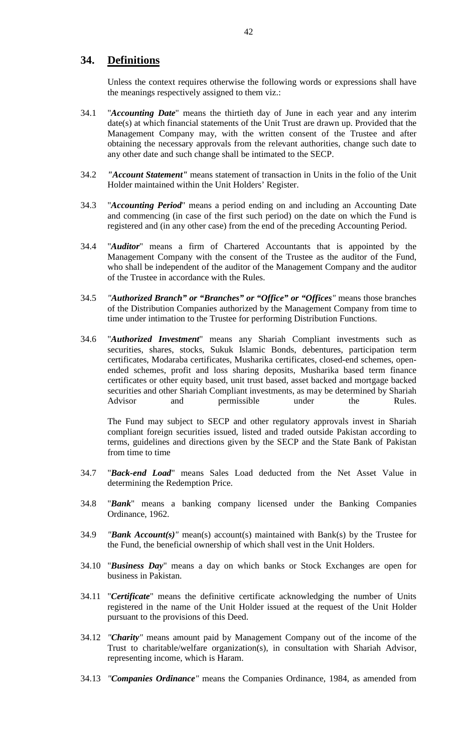## **34. Definitions**

Unless the context requires otherwise the following words or expressions shall have the meanings respectively assigned to them viz.:

- 34.1 "*Accounting Date*" means the thirtieth day of June in each year and any interim date(s) at which financial statements of the Unit Trust are drawn up. Provided that the Management Company may, with the written consent of the Trustee and after obtaining the necessary approvals from the relevant authorities, change such date to any other date and such change shall be intimated to the SECP.
- 34.2 *"Account Statement"* means statement of transaction in Units in the folio of the Unit Holder maintained within the Unit Holders' Register.
- 34.3 "*Accounting Period*" means a period ending on and including an Accounting Date and commencing (in case of the first such period) on the date on which the Fund is registered and (in any other case) from the end of the preceding Accounting Period.
- 34.4 "*Auditor*" means a firm of Chartered Accountants that is appointed by the Management Company with the consent of the Trustee as the auditor of the Fund, who shall be independent of the auditor of the Management Company and the auditor of the Trustee in accordance with the Rules.
- 34.5 *"Authorized Branch" or "Branches" or "Office" or "Offices"* means those branches of the Distribution Companies authorized by the Management Company from time to time under intimation to the Trustee for performing Distribution Functions.
- 34.6 "*Authorized Investment*" means any Shariah Compliant investments such as securities, shares, stocks, Sukuk Islamic Bonds, debentures, participation term certificates, Modaraba certificates, Musharika certificates, closed-end schemes, openended schemes, profit and loss sharing deposits, Musharika based term finance certificates or other equity based, unit trust based, asset backed and mortgage backed securities and other Shariah Compliant investments, as may be determined by Shariah Advisor and permissible under the Rules.

The Fund may subject to SECP and other regulatory approvals invest in Shariah compliant foreign securities issued, listed and traded outside Pakistan according to terms, guidelines and directions given by the SECP and the State Bank of Pakistan from time to time

- 34.7 "*Back-end Load*" means Sales Load deducted from the Net Asset Value in determining the Redemption Price.
- 34.8 "*Bank*" means a banking company licensed under the Banking Companies Ordinance, 1962.
- 34.9 *"Bank Account(s)"* mean(s) account(s) maintained with Bank(s) by the Trustee for the Fund, the beneficial ownership of which shall vest in the Unit Holders.
- 34.10 "*Business Day*" means a day on which banks or Stock Exchanges are open for business in Pakistan.
- 34.11 "*Certificate*" means the definitive certificate acknowledging the number of Units registered in the name of the Unit Holder issued at the request of the Unit Holder pursuant to the provisions of this Deed.
- 34.12 *"Charity"* means amount paid by Management Company out of the income of the Trust to charitable/welfare organization(s), in consultation with Shariah Advisor, representing income, which is Haram.
- 34.13 *"Companies Ordinance"* means the Companies Ordinance, 1984, as amended from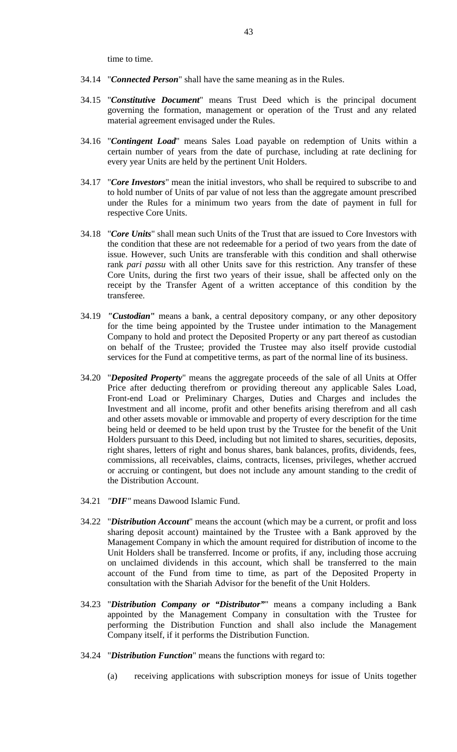time to time.

- 34.14 "*Connected Person*" shall have the same meaning as in the Rules.
- 34.15 "*Constitutive Document*" means Trust Deed which is the principal document governing the formation, management or operation of the Trust and any related material agreement envisaged under the Rules.
- 34.16 "*Contingent Load*" means Sales Load payable on redemption of Units within a certain number of years from the date of purchase, including at rate declining for every year Units are held by the pertinent Unit Holders.
- 34.17 "*Core Investors*" mean the initial investors, who shall be required to subscribe to and to hold number of Units of par value of not less than the aggregate amount prescribed under the Rules for a minimum two years from the date of payment in full for respective Core Units.
- 34.18 "*Core Units*" shall mean such Units of the Trust that are issued to Core Investors with the condition that these are not redeemable for a period of two years from the date of issue. However, such Units are transferable with this condition and shall otherwise rank *pari passu* with all other Units save for this restriction. Any transfer of these Core Units, during the first two years of their issue, shall be affected only on the receipt by the Transfer Agent of a written acceptance of this condition by the transferee.
- 34.19 *"Custodian***"** means a bank, a central depository company, or any other depository for the time being appointed by the Trustee under intimation to the Management Company to hold and protect the Deposited Property or any part thereof as custodian on behalf of the Trustee; provided the Trustee may also itself provide custodial services for the Fund at competitive terms, as part of the normal line of its business.
- 34.20 "*Deposited Property*" means the aggregate proceeds of the sale of all Units at Offer Price after deducting therefrom or providing thereout any applicable Sales Load, Front-end Load or Preliminary Charges, Duties and Charges and includes the Investment and all income, profit and other benefits arising therefrom and all cash and other assets movable or immovable and property of every description for the time being held or deemed to be held upon trust by the Trustee for the benefit of the Unit Holders pursuant to this Deed, including but not limited to shares, securities, deposits, right shares, letters of right and bonus shares, bank balances, profits, dividends, fees, commissions, all receivables, claims, contracts, licenses, privileges, whether accrued or accruing or contingent, but does not include any amount standing to the credit of the Distribution Account.
- 34.21 *"DIF"* means Dawood Islamic Fund.
- 34.22 "*Distribution Account*" means the account (which may be a current, or profit and loss sharing deposit account) maintained by the Trustee with a Bank approved by the Management Company in which the amount required for distribution of income to the Unit Holders shall be transferred. Income or profits, if any, including those accruing on unclaimed dividends in this account, which shall be transferred to the main account of the Fund from time to time, as part of the Deposited Property in consultation with the Shariah Advisor for the benefit of the Unit Holders.
- 34.23 "*Distribution Company or "Distributor"*" means a company including a Bank appointed by the Management Company in consultation with the Trustee for performing the Distribution Function and shall also include the Management Company itself, if it performs the Distribution Function.
- 34.24 "*Distribution Function*" means the functions with regard to:
	- (a) receiving applications with subscription moneys for issue of Units together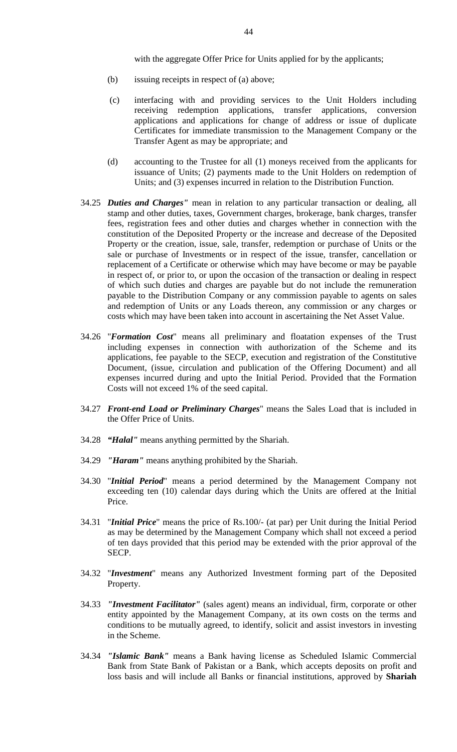with the aggregate Offer Price for Units applied for by the applicants;

- (b) issuing receipts in respect of (a) above;
- (c) interfacing with and providing services to the Unit Holders including receiving redemption applications, transfer applications, conversion applications and applications for change of address or issue of duplicate Certificates for immediate transmission to the Management Company or the Transfer Agent as may be appropriate; and
- (d) accounting to the Trustee for all (1) moneys received from the applicants for issuance of Units; (2) payments made to the Unit Holders on redemption of Units; and (3) expenses incurred in relation to the Distribution Function.
- 34.25 *Duties and Charges"* mean in relation to any particular transaction or dealing, all stamp and other duties, taxes, Government charges, brokerage, bank charges, transfer fees, registration fees and other duties and charges whether in connection with the constitution of the Deposited Property or the increase and decrease of the Deposited Property or the creation, issue, sale, transfer, redemption or purchase of Units or the sale or purchase of Investments or in respect of the issue, transfer, cancellation or replacement of a Certificate or otherwise which may have become or may be payable in respect of, or prior to, or upon the occasion of the transaction or dealing in respect of which such duties and charges are payable but do not include the remuneration payable to the Distribution Company or any commission payable to agents on sales and redemption of Units or any Loads thereon, any commission or any charges or costs which may have been taken into account in ascertaining the Net Asset Value.
- 34.26 "*Formation Cost*" means all preliminary and floatation expenses of the Trust including expenses in connection with authorization of the Scheme and its applications, fee payable to the SECP, execution and registration of the Constitutive Document, (issue, circulation and publication of the Offering Document) and all expenses incurred during and upto the Initial Period. Provided that the Formation Costs will not exceed 1% of the seed capital.
- 34.27 *Front-end Load or Preliminary Charges*" means the Sales Load that is included in the Offer Price of Units.
- 34.28 *"Halal"* means anything permitted by the Shariah.
- 34.29 *"Haram"* means anything prohibited by the Shariah.
- 34.30 "*Initial Period*" means a period determined by the Management Company not exceeding ten (10) calendar days during which the Units are offered at the Initial Price.
- 34.31 "*Initial Price*" means the price of Rs.100/- (at par) per Unit during the Initial Period as may be determined by the Management Company which shall not exceed a period of ten days provided that this period may be extended with the prior approval of the SECP.
- 34.32 "*Investment*" means any Authorized Investment forming part of the Deposited Property.
- 34.33 *"Investment Facilitator"* (sales agent) means an individual, firm, corporate or other entity appointed by the Management Company, at its own costs on the terms and conditions to be mutually agreed, to identify, solicit and assist investors in investing in the Scheme.
- 34.34 *"Islamic Bank"* means a Bank having license as Scheduled Islamic Commercial Bank from State Bank of Pakistan or a Bank, which accepts deposits on profit and loss basis and will include all Banks or financial institutions, approved by **Shariah**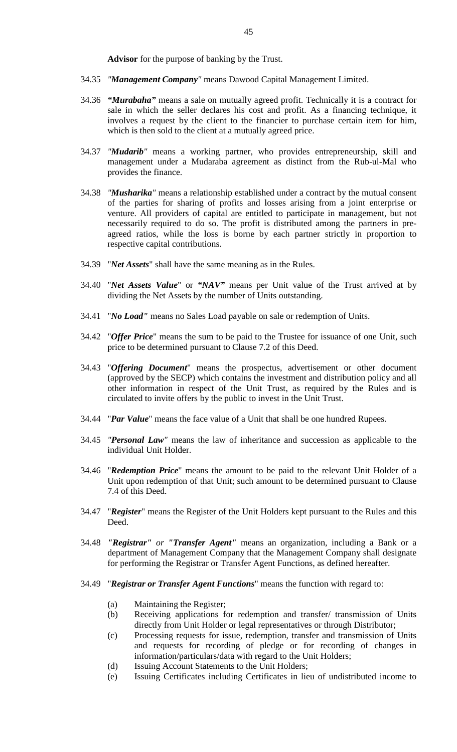**Advisor** for the purpose of banking by the Trust.

- 34.35 *"Management Company"* means Dawood Capital Management Limited.
- 34.36 *"Murabaha"* means a sale on mutually agreed profit. Technically it is a contract for sale in which the seller declares his cost and profit. As a financing technique, it involves a request by the client to the financier to purchase certain item for him, which is then sold to the client at a mutually agreed price.
- 34.37 *"Mudarib"* means a working partner, who provides entrepreneurship, skill and management under a Mudaraba agreement as distinct from the Rub-ul-Mal who provides the finance.
- 34.38 *"Musharika"* means a relationship established under a contract by the mutual consent of the parties for sharing of profits and losses arising from a joint enterprise or venture. All providers of capital are entitled to participate in management, but not necessarily required to do so. The profit is distributed among the partners in preagreed ratios, while the loss is borne by each partner strictly in proportion to respective capital contributions.
- 34.39 "*Net Assets*" shall have the same meaning as in the Rules.
- 34.40 "*Net Assets Value*" or *"NAV"* means per Unit value of the Trust arrived at by dividing the Net Assets by the number of Units outstanding.
- 34.41 "*No Load"* means no Sales Load payable on sale or redemption of Units.
- 34.42 "*Offer Price*" means the sum to be paid to the Trustee for issuance of one Unit, such price to be determined pursuant to Clause 7.2 of this Deed.
- 34.43 "*Offering Document*" means the prospectus, advertisement or other document (approved by the SECP) which contains the investment and distribution policy and all other information in respect of the Unit Trust, as required by the Rules and is circulated to invite offers by the public to invest in the Unit Trust.
- 34.44 "*Par Value*" means the face value of a Unit that shall be one hundred Rupees.
- 34.45 *"Personal Law"* means the law of inheritance and succession as applicable to the individual Unit Holder.
- 34.46 "*Redemption Price*" means the amount to be paid to the relevant Unit Holder of a Unit upon redemption of that Unit; such amount to be determined pursuant to Clause 7.4 of this Deed.
- 34.47 "*Register*" means the Register of the Unit Holders kept pursuant to the Rules and this Deed.
- 34.48 *"Registrar" or "Transfer Agent"* means an organization, including a Bank or a department of Management Company that the Management Company shall designate for performing the Registrar or Transfer Agent Functions, as defined hereafter.
- 34.49 "*Registrar or Transfer Agent Functions*" means the function with regard to:
	- (a) Maintaining the Register;
	- (b) Receiving applications for redemption and transfer/ transmission of Units directly from Unit Holder or legal representatives or through Distributor;
	- (c) Processing requests for issue, redemption, transfer and transmission of Units and requests for recording of pledge or for recording of changes in information/particulars/data with regard to the Unit Holders;
	- (d) Issuing Account Statements to the Unit Holders;
	- (e) Issuing Certificates including Certificates in lieu of undistributed income to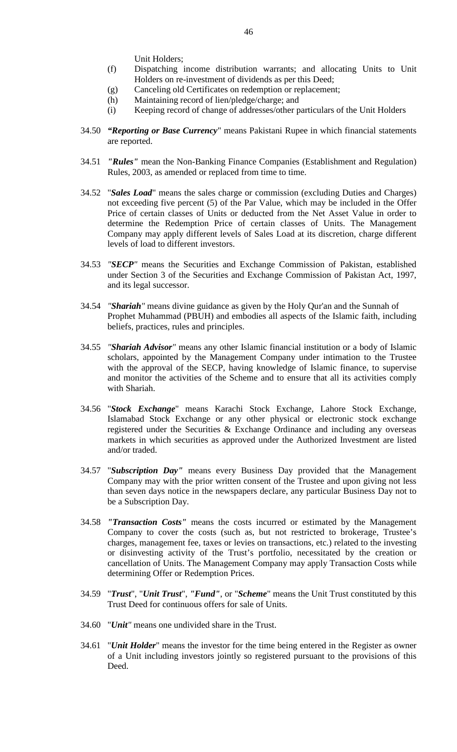Unit Holders;

- (f) Dispatching income distribution warrants; and allocating Units to Unit Holders on re-investment of dividends as per this Deed;
- (g) Canceling old Certificates on redemption or replacement;
- (h) Maintaining record of lien/pledge/charge; and
- (i) Keeping record of change of addresses/other particulars of the Unit Holders
- 34.50 *"Reporting or Base Currency*" means Pakistani Rupee in which financial statements are reported.
- 34.51 *"Rules"* mean the Non-Banking Finance Companies (Establishment and Regulation) Rules, 2003, as amended or replaced from time to time.
- 34.52 "*Sales Load*" means the sales charge or commission (excluding Duties and Charges) not exceeding five percent (5) of the Par Value, which may be included in the Offer Price of certain classes of Units or deducted from the Net Asset Value in order to determine the Redemption Price of certain classes of Units. The Management Company may apply different levels of Sales Load at its discretion, charge different levels of load to different investors.
- 34.53 *"SECP"* means the Securities and Exchange Commission of Pakistan, established under Section 3 of the Securities and Exchange Commission of Pakistan Act, 1997, and its legal successor.
- 34.54 *"Shariah"* means divine guidance as given by the Holy Qur'an and the Sunnah of Prophet Muhammad (PBUH) and embodies all aspects of the Islamic faith, including beliefs, practices, rules and principles.
- 34.55 *"Shariah Advisor"* means any other Islamic financial institution or a body of Islamic scholars, appointed by the Management Company under intimation to the Trustee with the approval of the SECP, having knowledge of Islamic finance, to supervise and monitor the activities of the Scheme and to ensure that all its activities comply with Shariah.
- 34.56 "*Stock Exchange*" means Karachi Stock Exchange, Lahore Stock Exchange, Islamabad Stock Exchange or any other physical or electronic stock exchange registered under the Securities & Exchange Ordinance and including any overseas markets in which securities as approved under the Authorized Investment are listed and/or traded.
- 34.57 "*Subscription Day"* means every Business Day provided that the Management Company may with the prior written consent of the Trustee and upon giving not less than seven days notice in the newspapers declare, any particular Business Day not to be a Subscription Day.
- 34.58 *"Transaction Costs"* means the costs incurred or estimated by the Management Company to cover the costs (such as, but not restricted to brokerage, Trustee's charges, management fee, taxes or levies on transactions, etc.) related to the investing or disinvesting activity of the Trust's portfolio, necessitated by the creation or cancellation of Units. The Management Company may apply Transaction Costs while determining Offer or Redemption Prices.
- 34.59 "*Trust*", "*Unit Trust*", *"Fund"*, or "*Scheme*" means the Unit Trust constituted by this Trust Deed for continuous offers for sale of Units.
- 34.60 "*Unit"* means one undivided share in the Trust.
- 34.61 "*Unit Holder*" means the investor for the time being entered in the Register as owner of a Unit including investors jointly so registered pursuant to the provisions of this Deed.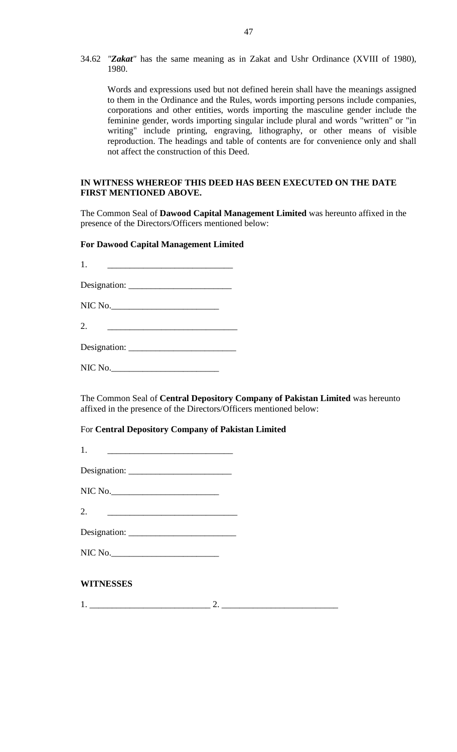34.62 *"Zakat"* has the same meaning as in Zakat and Ushr Ordinance (XVIII of 1980), 1980.

Words and expressions used but not defined herein shall have the meanings assigned to them in the Ordinance and the Rules, words importing persons include companies, corporations and other entities, words importing the masculine gender include the feminine gender, words importing singular include plural and words "written" or "in writing" include printing, engraving, lithography, or other means of visible reproduction. The headings and table of contents are for convenience only and shall not affect the construction of this Deed.

#### **IN WITNESS WHEREOF THIS DEED HAS BEEN EXECUTED ON THE DATE FIRST MENTIONED ABOVE.**

The Common Seal of **Dawood Capital Management Limited** was hereunto affixed in the presence of the Directors/Officers mentioned below:

#### **For Dawood Capital Management Limited**

1. <u>\_\_\_\_\_\_\_\_\_\_\_\_\_\_\_\_\_\_\_\_\_\_\_\_\_\_\_</u>

Designation: \_\_\_\_\_\_\_\_\_\_\_\_\_\_\_\_\_\_\_\_\_\_\_

| NIC No. |  |  |  |
|---------|--|--|--|
|         |  |  |  |

2. \_\_\_\_\_\_\_\_\_\_\_\_\_\_\_\_\_\_\_\_\_\_\_\_\_\_\_\_\_

Designation: \_\_\_\_\_\_\_\_\_\_\_\_\_\_\_\_\_\_\_\_\_\_\_\_

NIC No.\_\_\_\_\_\_\_\_\_\_\_\_\_\_\_\_\_\_\_\_\_\_\_\_

The Common Seal of **Central Depository Company of Pakistan Limited** was hereunto affixed in the presence of the Directors/Officers mentioned below:

For **Central Depository Company of Pakistan Limited** 

| Designation: |  |
|--------------|--|
|              |  |
|              |  |

| NIC No. |  |
|---------|--|
|---------|--|

2. \_\_\_\_\_\_\_\_\_\_\_\_\_\_\_\_\_\_\_\_\_\_\_\_\_\_\_\_\_

| Designation: |  |
|--------------|--|
|              |  |

### **WITNESSES**

1. \_\_\_\_\_\_\_\_\_\_\_\_\_\_\_\_\_\_\_\_\_\_\_\_\_\_\_ 2. \_\_\_\_\_\_\_\_\_\_\_\_\_\_\_\_\_\_\_\_\_\_\_\_\_\_